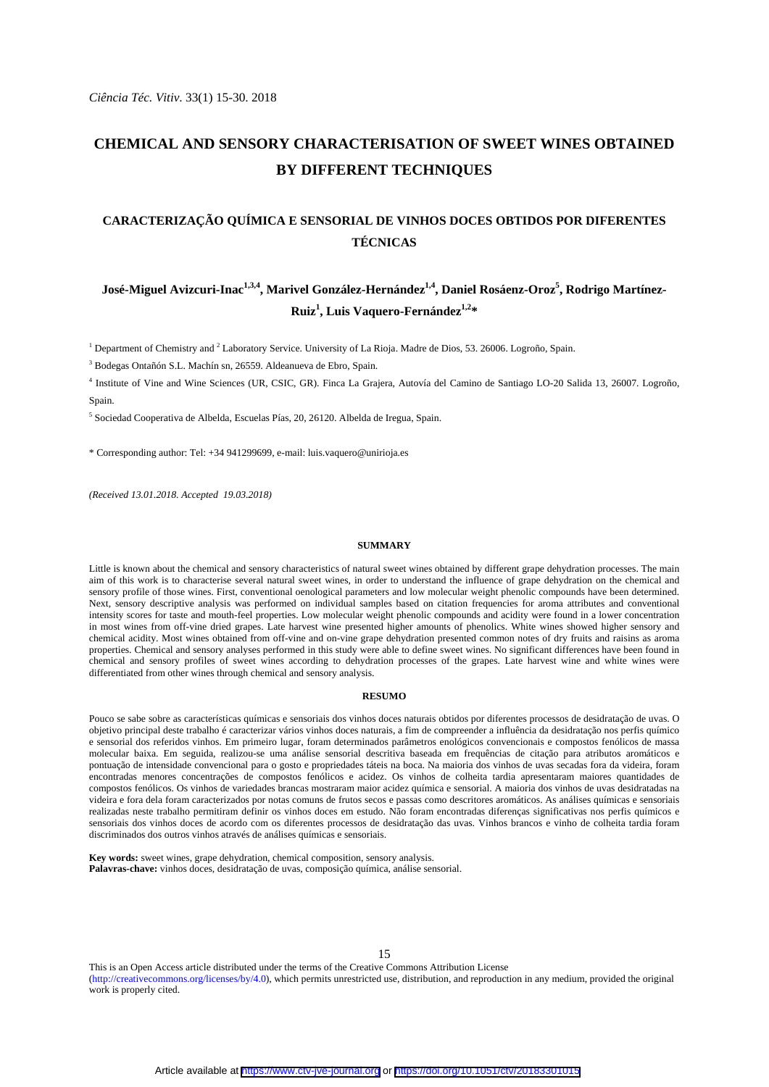# **CHEMICAL AND SENSORY CHARACTERISATION OF SWEET WINES OBTAINED BY DIFFERENT TECHNIQUES**

## **CARACTERIZAÇÃO QUÍMICA E SENSORIAL DE VINHOS DOCES OBTIDOS POR DIFERENTES TÉCNICAS**

## José-Miguel Avizcuri-Inac<sup>1,3,4</sup>, Marivel González-Hernández<sup>1,4</sup>, Daniel Rosáenz-Oroz<sup>5</sup>, Rodrigo Martínez-**Ruiz1 , Luis Vaquero-Fernández1,2\***

<sup>1</sup> Department of Chemistry and <sup>2</sup> Laboratory Service. University of La Rioja. Madre de Dios, 53. 26006. Logroño, Spain.

3 Bodegas Ontañón S.L. Machín sn, 26559. Aldeanueva de Ebro, Spain.

4 Institute of Vine and Wine Sciences (UR, CSIC, GR). Finca La Grajera, Autovía del Camino de Santiago LO-20 Salida 13, 26007. Logroño, Spain.

5 Sociedad Cooperativa de Albelda, Escuelas Pías, 20, 26120. Albelda de Iregua, Spain.

\* Corresponding author: Tel: +34 941299699, e-mail: luis.vaquero@unirioja.es

*(Received 13.01.2018. Accepted 19.03.2018)* 

#### **SUMMARY**

Little is known about the chemical and sensory characteristics of natural sweet wines obtained by different grape dehydration processes. The main aim of this work is to characterise several natural sweet wines, in order to understand the influence of grape dehydration on the chemical and sensory profile of those wines. First, conventional oenological parameters and low molecular weight phenolic compounds have been determined. Next, sensory descriptive analysis was performed on individual samples based on citation frequencies for aroma attributes and conventional intensity scores for taste and mouth-feel properties. Low molecular weight phenolic compounds and acidity were found in a lower concentration in most wines from off-vine dried grapes. Late harvest wine presented higher amounts of phenolics. White wines showed higher sensory and chemical acidity. Most wines obtained from off-vine and on-vine grape dehydration presented common notes of dry fruits and raisins as aroma properties. Chemical and sensory analyses performed in this study were able to define sweet wines. No significant differences have been found in chemical and sensory profiles of sweet wines according to dehydration processes of the grapes. Late harvest wine and white wines were differentiated from other wines through chemical and sensory analysis.

#### **RESUMO**

Pouco se sabe sobre as características químicas e sensoriais dos vinhos doces naturais obtidos por diferentes processos de desidratação de uvas. O objetivo principal deste trabalho é caracterizar vários vinhos doces naturais, a fim de compreender a influência da desidratação nos perfis químico e sensorial dos referidos vinhos. Em primeiro lugar, foram determinados parâmetros enológicos convencionais e compostos fenólicos de massa molecular baixa. Em seguida, realizou-se uma análise sensorial descritiva baseada em frequências de citação para atributos aromáticos e pontuação de intensidade convencional para o gosto e propriedades táteis na boca. Na maioria dos vinhos de uvas secadas fora da videira, foram encontradas menores concentrações de compostos fenólicos e acidez. Os vinhos de colheita tardia apresentaram maiores quantidades de compostos fenólicos. Os vinhos de variedades brancas mostraram maior acidez química e sensorial. A maioria dos vinhos de uvas desidratadas na videira e fora dela foram caracterizados por notas comuns de frutos secos e passas como descritores aromáticos. As análises químicas e sensoriais realizadas neste trabalho permitiram definir os vinhos doces em estudo. Não foram encontradas diferenças significativas nos perfis químicos e sensoriais dos vinhos doces de acordo com os diferentes processos de desidratação das uvas. Vinhos brancos e vinho de colheita tardia foram discriminados dos outros vinhos através de análises químicas e sensoriais.

**Key words:** sweet wines, grape dehydration, chemical composition, sensory analysis. **Palavras-chave:** vinhos doces, desidratação de uvas, composição química, análise sensorial.

This is an Open Access article distributed under the terms of the Creative Commons Attribution License (http://creativecommons.org/licenses/by/4.0), which permits unrestricted use, distribution, and reproduction in any medium, provided the original work is properly cited.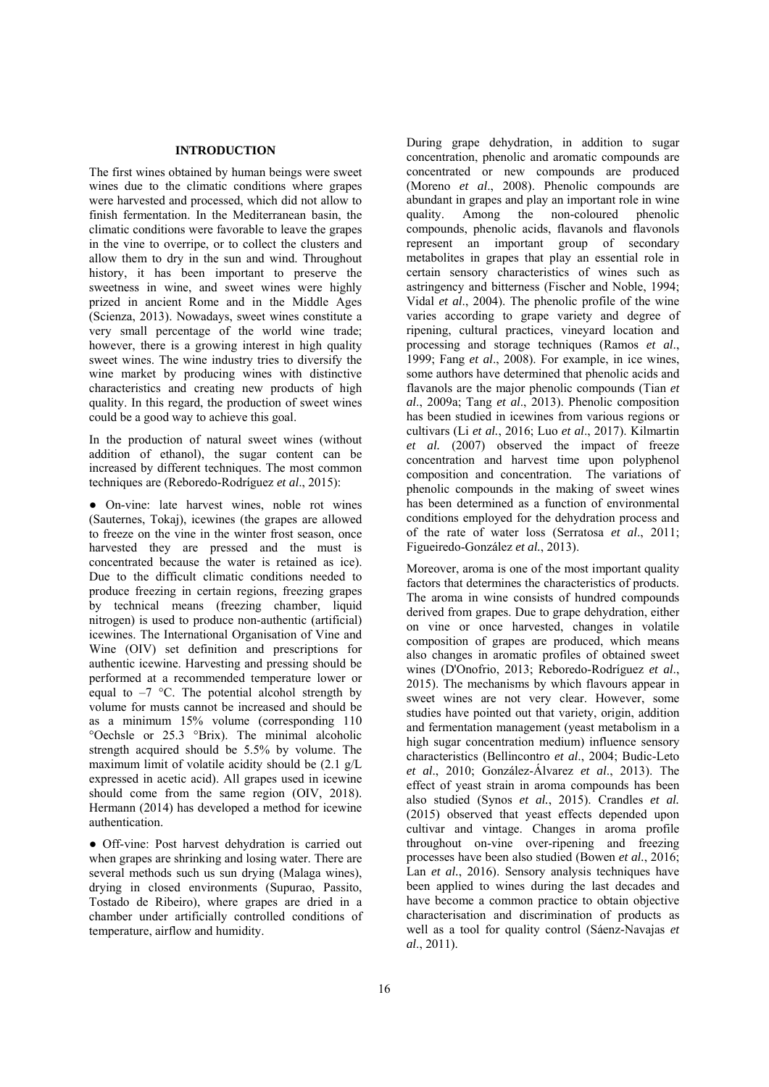## **INTRODUCTION**

The first wines obtained by human beings were sweet wines due to the climatic conditions where grapes were harvested and processed, which did not allow to finish fermentation. In the Mediterranean basin, the climatic conditions were favorable to leave the grapes in the vine to overripe, or to collect the clusters and allow them to dry in the sun and wind. Throughout history, it has been important to preserve the sweetness in wine, and sweet wines were highly prized in ancient Rome and in the Middle Ages (Scienza, 2013). Nowadays, sweet wines constitute a very small percentage of the world wine trade; however, there is a growing interest in high quality sweet wines. The wine industry tries to diversify the wine market by producing wines with distinctive characteristics and creating new products of high quality. In this regard, the production of sweet wines could be a good way to achieve this goal.

In the production of natural sweet wines (without addition of ethanol), the sugar content can be increased by different techniques. The most common techniques are (Reboredo-Rodríguez *et al*., 2015):

● On-vine: late harvest wines, noble rot wines (Sauternes, Tokaj), icewines (the grapes are allowed to freeze on the vine in the winter frost season, once harvested they are pressed and the must is concentrated because the water is retained as ice). Due to the difficult climatic conditions needed to produce freezing in certain regions, freezing grapes by technical means (freezing chamber, liquid nitrogen) is used to produce non-authentic (artificial) icewines. The International Organisation of Vine and Wine (OIV) set definition and prescriptions for authentic icewine. Harvesting and pressing should be performed at a recommended temperature lower or equal to  $-7$  °C. The potential alcohol strength by volume for musts cannot be increased and should be as a minimum 15% volume (corresponding 110 °Oechsle or 25.3 °Brix). The minimal alcoholic strength acquired should be 5.5% by volume. The maximum limit of volatile acidity should be (2.1 g/L expressed in acetic acid). All grapes used in icewine should come from the same region (OIV, 2018). Hermann (2014) has developed a method for icewine authentication.

• Off-vine: Post harvest dehydration is carried out when grapes are shrinking and losing water. There are several methods such us sun drying (Malaga wines), drying in closed environments (Supurao, Passito, Tostado de Ribeiro), where grapes are dried in a chamber under artificially controlled conditions of temperature, airflow and humidity.

During grape dehydration, in addition to sugar concentration, phenolic and aromatic compounds are concentrated or new compounds are produced (Moreno *et al*., 2008). Phenolic compounds are abundant in grapes and play an important role in wine<br>quality. Among the non-coloured phenolic quality. Among the non-coloured compounds, phenolic acids, flavanols and flavonols represent an important group of secondary metabolites in grapes that play an essential role in certain sensory characteristics of wines such as astringency and bitterness (Fischer and Noble, 1994; Vidal *et al*., 2004). The phenolic profile of the wine varies according to grape variety and degree of ripening, cultural practices, vineyard location and processing and storage techniques (Ramos *et al*., 1999; Fang *et al*., 2008). For example, in ice wines, some authors have determined that phenolic acids and flavanols are the major phenolic compounds (Tian *et al*., 2009a; Tang *et al*., 2013). Phenolic composition has been studied in icewines from various regions or cultivars (Li *et al.*, 2016; Luo *et al*., 2017). Kilmartin *et al.* (2007) observed the impact of freeze concentration and harvest time upon polyphenol composition and concentration. The variations of phenolic compounds in the making of sweet wines has been determined as a function of environmental conditions employed for the dehydration process and of the rate of water loss (Serratosa *et al*., 2011; Figueiredo-González *et al.*, 2013).

Moreover, aroma is one of the most important quality factors that determines the characteristics of products. The aroma in wine consists of hundred compounds derived from grapes. Due to grape dehydration, either on vine or once harvested, changes in volatile composition of grapes are produced, which means also changes in aromatic profiles of obtained sweet wines (D'Onofrio, 2013; Reboredo-Rodríguez *et al*., 2015). The mechanisms by which flavours appear in sweet wines are not very clear. However, some studies have pointed out that variety, origin, addition and fermentation management (yeast metabolism in a high sugar concentration medium) influence sensory characteristics (Bellincontro *et al*., 2004; Budic-Leto *et al*., 2010; González-Álvarez *et al*., 2013). The effect of yeast strain in aroma compounds has been also studied (Synos *et al.*, 2015). Crandles *et al.* (2015) observed that yeast effects depended upon cultivar and vintage. Changes in aroma profile throughout on-vine over-ripening and freezing processes have been also studied (Bowen *et al.*, 2016; Lan *et al.*, 2016). Sensory analysis techniques have been applied to wines during the last decades and have become a common practice to obtain objective characterisation and discrimination of products as well as a tool for quality control (Sáenz-Navajas *et al*., 2011).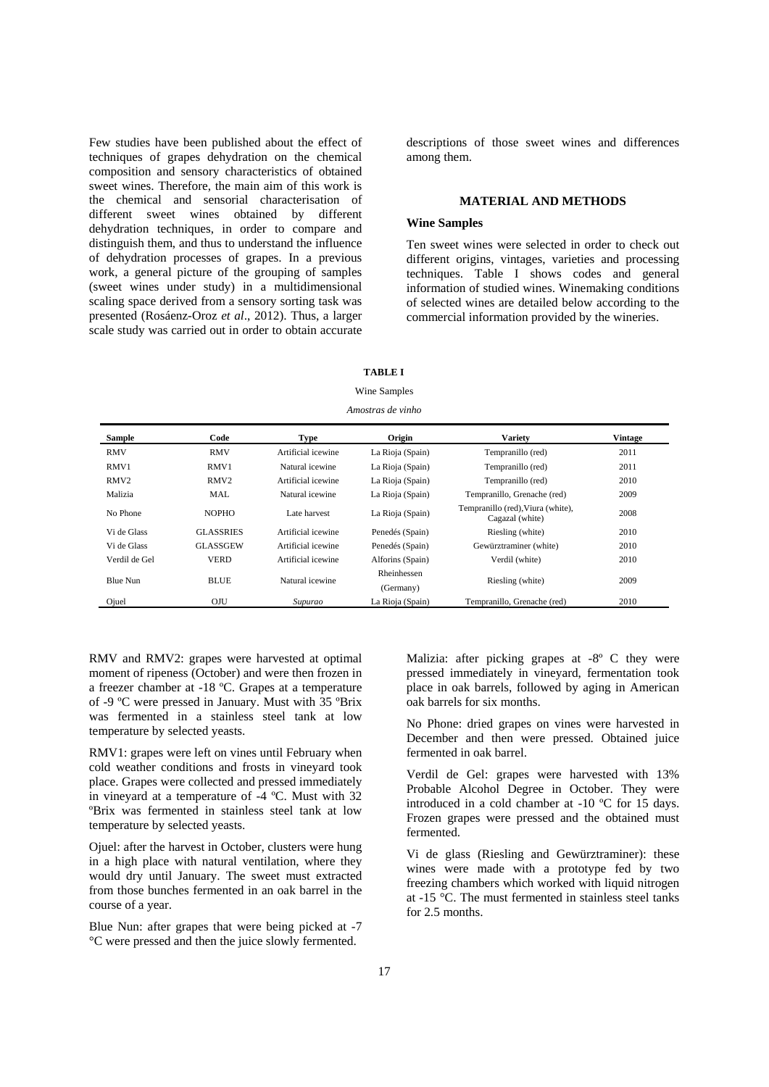Few studies have been published about the effect of techniques of grapes dehydration on the chemical composition and sensory characteristics of obtained sweet wines. Therefore, the main aim of this work is the chemical and sensorial characterisation of different sweet wines obtained by different dehydration techniques, in order to compare and distinguish them, and thus to understand the influence of dehydration processes of grapes. In a previous work, a general picture of the grouping of samples (sweet wines under study) in a multidimensional scaling space derived from a sensory sorting task was presented (Rosáenz-Oroz *et al*., 2012). Thus, a larger scale study was carried out in order to obtain accurate descriptions of those sweet wines and differences among them.

### **MATERIAL AND METHODS**

## **Wine Samples**

Ten sweet wines were selected in order to check out different origins, vintages, varieties and processing techniques. Table I shows codes and general information of studied wines. Winemaking conditions of selected wines are detailed below according to the commercial information provided by the wineries.

## **TABLE I**

## Wine Samples

| Amostras de vinho |  |
|-------------------|--|
|                   |  |

| <b>Sample</b>    | Code             | Type               | Origin                   | Varietv                                              | <b>Vintage</b> |
|------------------|------------------|--------------------|--------------------------|------------------------------------------------------|----------------|
| <b>RMV</b>       | <b>RMV</b>       | Artificial icewine | La Rioja (Spain)         | Tempranillo (red)                                    | 2011           |
| RMV1             | RMV1             | Natural icewine    | La Rioja (Spain)         | Tempranillo (red)                                    | 2011           |
| RMV <sub>2</sub> | RMV <sub>2</sub> | Artificial icewine | La Rioja (Spain)         | Tempranillo (red)                                    | 2010           |
| Malizia          | MAL              | Natural icewine    | La Rioja (Spain)         | Tempranillo, Grenache (red)                          | 2009           |
| No Phone         | <b>NOPHO</b>     | Late harvest       | La Rioja (Spain)         | Tempranillo (red), Viura (white),<br>Cagazal (white) | 2008           |
| Vi de Glass      | <b>GLASSRIES</b> | Artificial icewine | Penedés (Spain)          | Riesling (white)                                     | 2010           |
| Vi de Glass      | <b>GLASSGEW</b>  | Artificial icewine | Penedés (Spain)          | Gewürztraminer (white)                               | 2010           |
| Verdil de Gel    | <b>VERD</b>      | Artificial icewine | Alforins (Spain)         | Verdil (white)                                       | 2010           |
| Blue Nun         | <b>BLUE</b>      | Natural icewine    | Rheinhessen<br>(Germany) | Riesling (white)                                     | 2009           |
| Ojuel            | OJU              | Supurao            | La Rioja (Spain)         | Tempranillo, Grenache (red)                          | 2010           |

RMV and RMV2: grapes were harvested at optimal moment of ripeness (October) and were then frozen in a freezer chamber at -18 ºC. Grapes at a temperature of -9 ºC were pressed in January. Must with 35 ºBrix was fermented in a stainless steel tank at low temperature by selected yeasts.

RMV1: grapes were left on vines until February when cold weather conditions and frosts in vineyard took place. Grapes were collected and pressed immediately in vineyard at a temperature of -4 ºC. Must with 32 ºBrix was fermented in stainless steel tank at low temperature by selected yeasts.

Ojuel: after the harvest in October, clusters were hung in a high place with natural ventilation, where they would dry until January. The sweet must extracted from those bunches fermented in an oak barrel in the course of a year.

Blue Nun: after grapes that were being picked at -7 °C were pressed and then the juice slowly fermented.

Malizia: after picking grapes at -8º C they were pressed immediately in vineyard, fermentation took place in oak barrels, followed by aging in American oak barrels for six months.

No Phone: dried grapes on vines were harvested in December and then were pressed. Obtained juice fermented in oak barrel.

Verdil de Gel: grapes were harvested with 13% Probable Alcohol Degree in October. They were introduced in a cold chamber at -10 ºC for 15 days. Frozen grapes were pressed and the obtained must fermented.

Vi de glass (Riesling and Gewürztraminer): these wines were made with a prototype fed by two freezing chambers which worked with liquid nitrogen at -15 °C. The must fermented in stainless steel tanks for 2.5 months.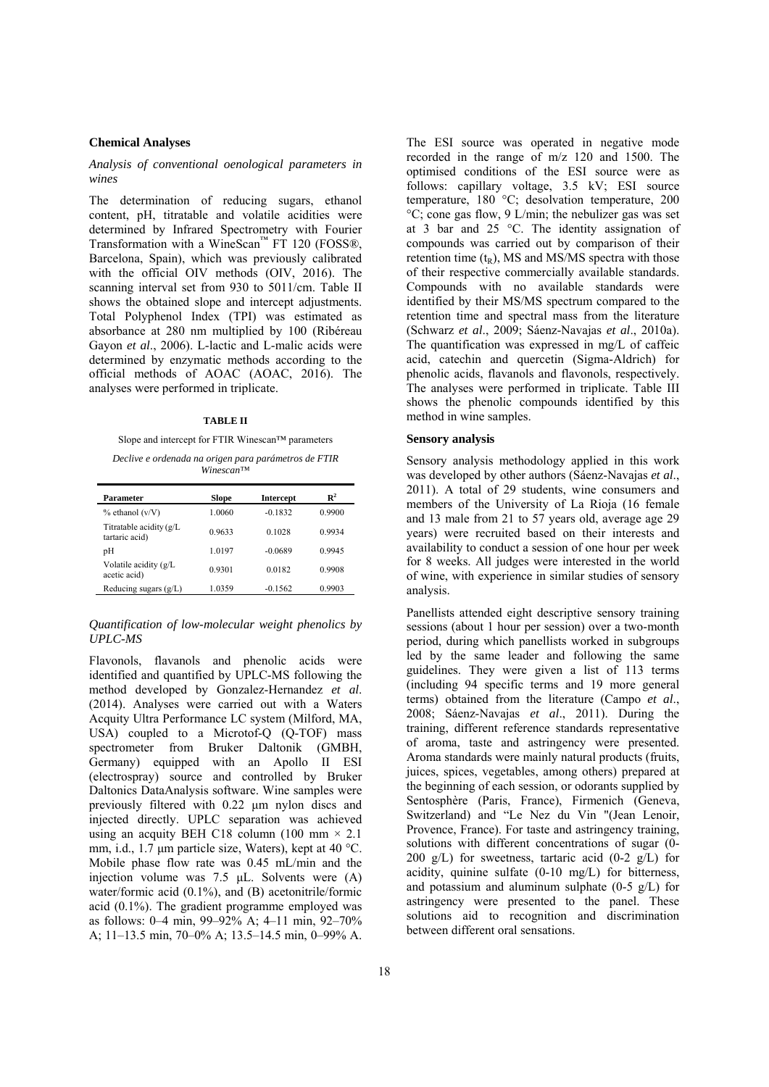#### **Chemical Analyses**

## *Analysis of conventional oenological parameters in wines*

The determination of reducing sugars, ethanol content, pH, titratable and volatile acidities were determined by Infrared Spectrometry with Fourier Transformation with a WineScan™ FT 120 (FOSS®, Barcelona, Spain), which was previously calibrated with the official OIV methods (OIV, 2016). The scanning interval set from 930 to 5011/cm. Table II shows the obtained slope and intercept adjustments. Total Polyphenol Index (TPI) was estimated as absorbance at 280 nm multiplied by 100 (Ribéreau Gayon *et al*., 2006). L-lactic and L-malic acids were determined by enzymatic methods according to the official methods of AOAC (AOAC, 2016). The analyses were performed in triplicate.

## **TABLE II**

Slope and intercept for FTIR Winescan™ parameters

*Declive e ordenada na origen para parámetros de FTIR Winescan™* 

| Parameter                                  | Slope  | <b>Intercept</b> | $\mathbb{R}^2$ |
|--------------------------------------------|--------|------------------|----------------|
| $%$ ethanol (v/V)                          | 1.0060 | $-0.1832$        | 0.9900         |
| Titratable acidity (g/L)<br>tartaric acid) | 0.9633 | 0.1028           | 0.9934         |
| pH                                         | 1.0197 | $-0.0689$        | 0.9945         |
| Volatile acidity (g/L)<br>acetic acid)     | 0.9301 | 0.0182           | 0.9908         |
| Reducing sugars $(g/L)$                    | 1.0359 | $-0.1562$        | 0.9903         |

## *Quantification of low-molecular weight phenolics by UPLC-MS*

Flavonols, flavanols and phenolic acids were identified and quantified by UPLC-MS following the method developed by Gonzalez-Hernandez *et al*. (2014). Analyses were carried out with a Waters Acquity Ultra Performance LC system (Milford, MA, USA) coupled to a Microtof-Q (Q-TOF) mass spectrometer from Bruker Daltonik (GMBH, Germany) equipped with an Apollo II ESI (electrospray) source and controlled by Bruker Daltonics DataAnalysis software. Wine samples were previously filtered with 0.22 μm nylon discs and injected directly. UPLC separation was achieved using an acquity BEH C18 column (100 mm  $\times$  2.1 mm, i.d., 1.7 μm particle size, Waters), kept at 40 °C. Mobile phase flow rate was 0.45 mL/min and the injection volume was 7.5 μL. Solvents were (A) water/formic acid (0.1%), and (B) acetonitrile/formic acid (0.1%). The gradient programme employed was as follows: 0–4 min, 99–92% A; 4–11 min, 92–70% A; 11–13.5 min, 70–0% A; 13.5–14.5 min, 0–99% A.

The ESI source was operated in negative mode recorded in the range of m/z 120 and 1500. The optimised conditions of the ESI source were as follows: capillary voltage, 3.5 kV; ESI source temperature, 180 °C; desolvation temperature, 200 °C; cone gas flow, 9 L/min; the nebulizer gas was set at 3 bar and 25 °C. The identity assignation of compounds was carried out by comparison of their retention time  $(t_R)$ , MS and MS/MS spectra with those of their respective commercially available standards. Compounds with no available standards were identified by their MS/MS spectrum compared to the retention time and spectral mass from the literature (Schwarz *et al*., 2009; Sáenz-Navajas *et al*., 2010a). The quantification was expressed in mg/L of caffeic acid, catechin and quercetin (Sigma-Aldrich) for phenolic acids, flavanols and flavonols, respectively. The analyses were performed in triplicate. Table III shows the phenolic compounds identified by this method in wine samples.

#### **Sensory analysis**

Sensory analysis methodology applied in this work was developed by other authors (Sáenz-Navajas *et al*., 2011). A total of 29 students, wine consumers and members of the University of La Rioja (16 female and 13 male from 21 to 57 years old, average age 29 years) were recruited based on their interests and availability to conduct a session of one hour per week for 8 weeks. All judges were interested in the world of wine, with experience in similar studies of sensory analysis.

Panellists attended eight descriptive sensory training sessions (about 1 hour per session) over a two-month period, during which panellists worked in subgroups led by the same leader and following the same guidelines. They were given a list of 113 terms (including 94 specific terms and 19 more general terms) obtained from the literature (Campo *et al*., 2008; Sáenz-Navajas *et al*., 2011). During the training, different reference standards representative of aroma, taste and astringency were presented. Aroma standards were mainly natural products (fruits, juices, spices, vegetables, among others) prepared at the beginning of each session, or odorants supplied by Sentosphère (Paris, France), Firmenich (Geneva, Switzerland) and "Le Nez du Vin "(Jean Lenoir, Provence, France). For taste and astringency training, solutions with different concentrations of sugar (0- 200 g/L) for sweetness, tartaric acid  $(0-2 \text{ g/L})$  for acidity, quinine sulfate (0-10 mg/L) for bitterness, and potassium and aluminum sulphate  $(0-5 g/L)$  for astringency were presented to the panel. These solutions aid to recognition and discrimination between different oral sensations.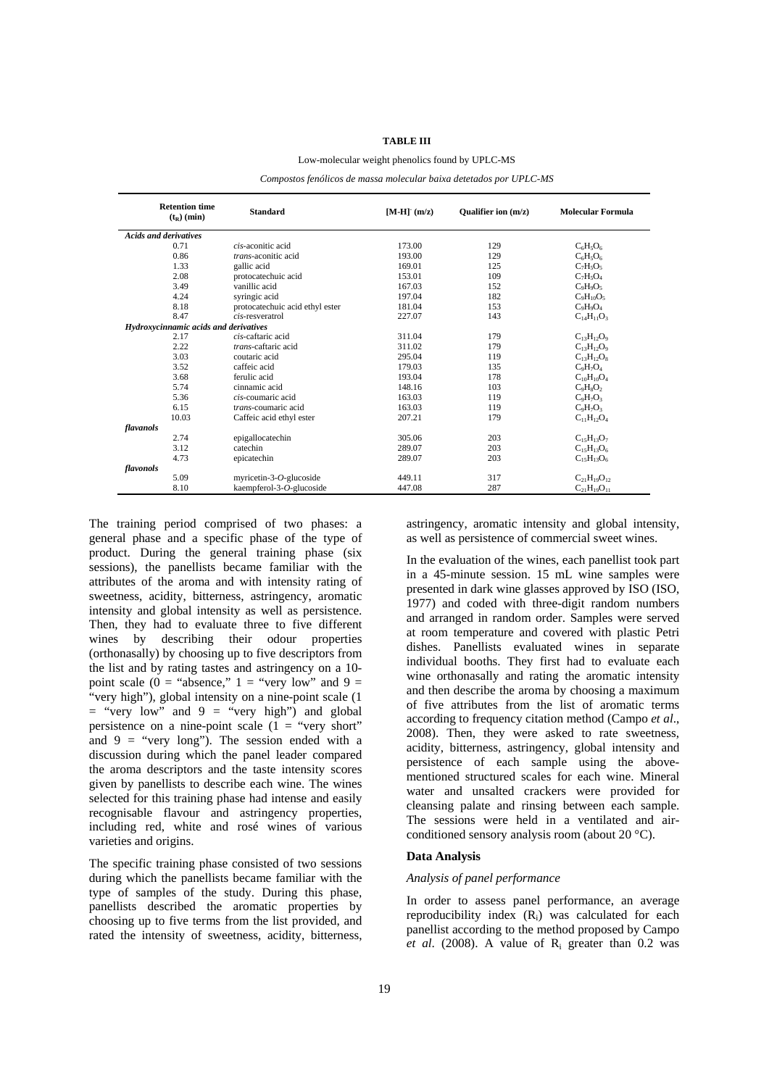#### **TABLE III**

#### Low-molecular weight phenolics found by UPLC-MS

| <b>Retention time</b><br>$(t_R)$ (min) | <b>Standard</b>                 | $[M-H] (m/z)$ | <b>Qualifier ion <math>(m/z)</math></b> | Molecular Formula    |
|----------------------------------------|---------------------------------|---------------|-----------------------------------------|----------------------|
| <b>Acids and derivatives</b>           |                                 |               |                                         |                      |
| 0.71                                   | cis-aconitic acid               | 173.00        | 129                                     | $C_6H_5O_6$          |
| 0.86                                   | trans-aconitic acid             | 193.00        | 129                                     | $C_6H_5O_6$          |
| 1.33                                   | gallic acid                     | 169.01        | 125                                     | $C_7H_5O_5$          |
| 2.08                                   | protocatechuic acid             | 153.01        | 109                                     | $C_7H_5O_4$          |
| 3.49                                   | vanillic acid                   | 167.03        | 152                                     | $C_9H_9O_5$          |
| 4.24                                   | syringic acid                   | 197.04        | 182                                     | $C_9H_{10}O_5$       |
| 8.18                                   | protocatechuic acid ethyl ester | 181.04        | 153                                     | $C_9H_9O_4$          |
| 8.47                                   | $cis$ -resveratrol              | 227.07        | 143                                     | $C_{14}H_{11}O_3$    |
| Hydroxycinnamic acids and derivatives  |                                 |               |                                         |                      |
| 2.17                                   | cis-caftaric acid               | 311.04        | 179                                     | $C_{13}H_{12}O_9$    |
| 2.22                                   | trans-caftaric acid             | 311.02        | 179                                     | $C_{13}H_{12}O_9$    |
| 3.03                                   | coutaric acid                   | 295.04        | 119                                     | $C_{13}H_{12}O_8$    |
| 3.52                                   | caffeic acid                    | 179.03        | 135                                     | $C_9H_7O_4$          |
| 3.68                                   | ferulic acid                    | 193.04        | 178                                     | $C_{10}H_{10}O_4$    |
| 5.74                                   | cinnamic acid                   | 148.16        | 103                                     | $C_9H_8O_2$          |
| 5.36                                   | cis-coumaric acid               | 163.03        | 119                                     | $C_9H_7O_3$          |
| 6.15                                   | trans-coumaric acid             | 163.03        | 119                                     | $C_9H_7O_3$          |
| 10.03                                  | Caffeic acid ethyl ester        | 207.21        | 179                                     | $C_{11}H_{12}O_4$    |
| flavanols                              |                                 |               |                                         |                      |
| 2.74                                   | epigallocatechin                | 305.06        | 203                                     | $C_{15}H_{13}O_7$    |
| 3.12                                   | catechin                        | 289.07        | 203                                     | $C_{15}H_{13}O_6$    |
| 4.73                                   | epicatechin                     | 289.07        | 203                                     | $C_{15}H_{13}O_6$    |
| flavonols                              |                                 |               |                                         |                      |
| 5.09                                   | myricetin-3- $O$ -glucoside     | 449.11        | 317                                     | $C_{21}H_{19}O_{12}$ |
| 8.10                                   | kaempferol-3- $O$ -glucoside    | 447.08        | 287                                     | $C_{21}H_{19}O_{11}$ |

*Compostos fenólicos de massa molecular baixa detetados por UPLC-MS* 

The training period comprised of two phases: a general phase and a specific phase of the type of product. During the general training phase (six sessions), the panellists became familiar with the attributes of the aroma and with intensity rating of sweetness, acidity, bitterness, astringency, aromatic intensity and global intensity as well as persistence. Then, they had to evaluate three to five different wines by describing their odour properties (orthonasally) by choosing up to five descriptors from the list and by rating tastes and astringency on a 10 point scale ( $0 =$  "absence,"  $1 =$  "very low" and  $9 =$ "very high"), global intensity on a nine-point scale (1)  $=$  "very low" and  $9 =$  "very high") and global persistence on a nine-point scale  $(1 = "very short")$ and  $9 =$  "very long"). The session ended with a discussion during which the panel leader compared the aroma descriptors and the taste intensity scores given by panellists to describe each wine. The wines selected for this training phase had intense and easily recognisable flavour and astringency properties, including red, white and rosé wines of various varieties and origins.

The specific training phase consisted of two sessions during which the panellists became familiar with the type of samples of the study. During this phase, panellists described the aromatic properties by choosing up to five terms from the list provided, and rated the intensity of sweetness, acidity, bitterness,

astringency, aromatic intensity and global intensity, as well as persistence of commercial sweet wines.

In the evaluation of the wines, each panellist took part in a 45-minute session. 15 mL wine samples were presented in dark wine glasses approved by ISO (ISO, 1977) and coded with three-digit random numbers and arranged in random order. Samples were served at room temperature and covered with plastic Petri dishes. Panellists evaluated wines in separate individual booths. They first had to evaluate each wine orthonasally and rating the aromatic intensity and then describe the aroma by choosing a maximum of five attributes from the list of aromatic terms according to frequency citation method (Campo *et al*., 2008). Then, they were asked to rate sweetness, acidity, bitterness, astringency, global intensity and persistence of each sample using the abovementioned structured scales for each wine. Mineral water and unsalted crackers were provided for cleansing palate and rinsing between each sample. The sessions were held in a ventilated and airconditioned sensory analysis room (about 20 °C).

## **Data Analysis**

#### *Analysis of panel performance*

In order to assess panel performance, an average reproducibility index  $(R_i)$  was calculated for each panellist according to the method proposed by Campo *et al*. (2008). A value of Ri greater than 0.2 was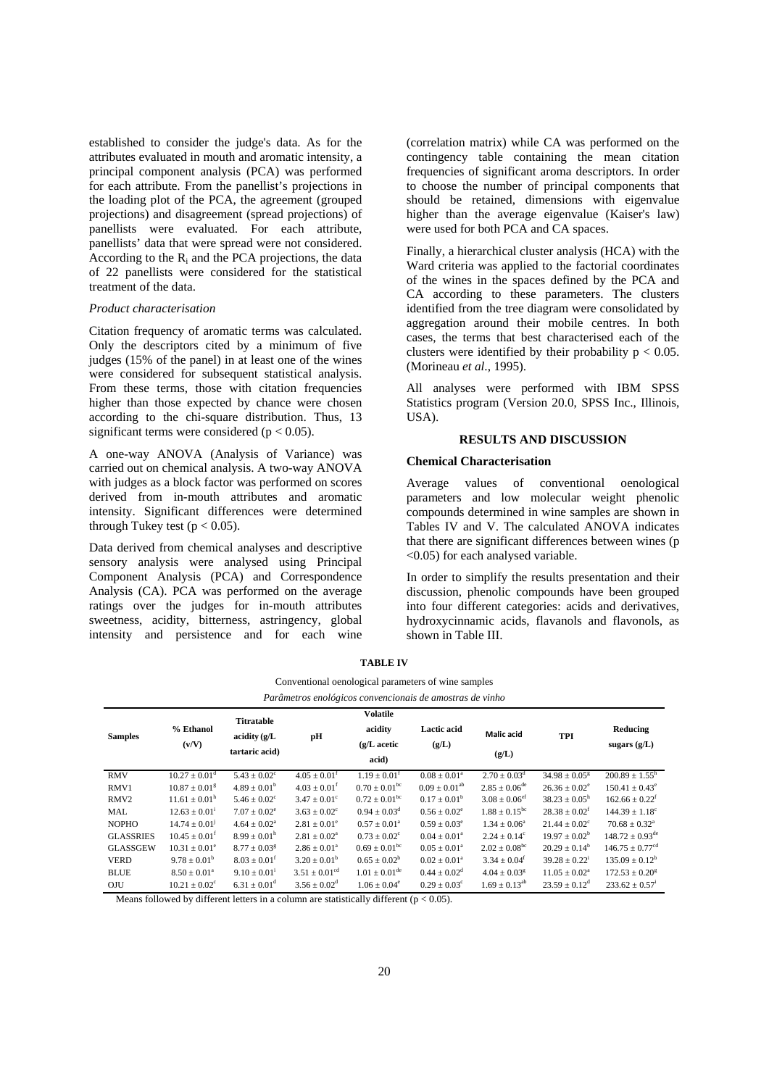established to consider the judge's data. As for the attributes evaluated in mouth and aromatic intensity, a principal component analysis (PCA) was performed for each attribute. From the panellist's projections in the loading plot of the PCA, the agreement (grouped projections) and disagreement (spread projections) of panellists were evaluated. For each attribute, panellists' data that were spread were not considered. According to the  $R_i$  and the PCA projections, the data of 22 panellists were considered for the statistical treatment of the data.

#### *Product characterisation*

**Samples** 

Citation frequency of aromatic terms was calculated. Only the descriptors cited by a minimum of five judges (15% of the panel) in at least one of the wines were considered for subsequent statistical analysis. From these terms, those with citation frequencies higher than those expected by chance were chosen according to the chi-square distribution. Thus, 13 significant terms were considered ( $p < 0.05$ ).

A one-way ANOVA (Analysis of Variance) was carried out on chemical analysis. A two-way ANOVA with judges as a block factor was performed on scores derived from in-mouth attributes and aromatic intensity. Significant differences were determined through Tukey test ( $p < 0.05$ ).

Data derived from chemical analyses and descriptive sensory analysis were analysed using Principal Component Analysis (PCA) and Correspondence Analysis (CA). PCA was performed on the average ratings over the judges for in-mouth attributes sweetness, acidity, bitterness, astringency, global intensity and persistence and for each wine

(correlation matrix) while CA was performed on the contingency table containing the mean citation frequencies of significant aroma descriptors. In order to choose the number of principal components that should be retained, dimensions with eigenvalue higher than the average eigenvalue (Kaiser's law) were used for both PCA and CA spaces.

Finally, a hierarchical cluster analysis (HCA) with the Ward criteria was applied to the factorial coordinates of the wines in the spaces defined by the PCA and CA according to these parameters. The clusters identified from the tree diagram were consolidated by aggregation around their mobile centres. In both cases, the terms that best characterised each of the clusters were identified by their probability  $p < 0.05$ . (Morineau *et al*., 1995).

All analyses were performed with IBM SPSS Statistics program (Version 20.0, SPSS Inc., Illinois, USA).

## **RESULTS AND DISCUSSION**

### **Chemical Characterisation**

Average values of conventional oenological parameters and low molecular weight phenolic compounds determined in wine samples are shown in Tables IV and V. The calculated ANOVA indicates that there are significant differences between wines (p <0.05) for each analysed variable.

In order to simplify the results presentation and their discussion, phenolic compounds have been grouped into four different categories: acids and derivatives, hydroxycinnamic acids, flavanols and flavonols, as shown in Table III.

 $11.05 \pm 0.02^a$  172.53  $\pm 0.20^g$ 

|            |                               |                                                                                 |                            | Conventional oenological parameters of wine samples<br>Parâmetros enológicos convencionais de amostras de vinho |                             |                               |                          |                                |
|------------|-------------------------------|---------------------------------------------------------------------------------|----------------------------|-----------------------------------------------------------------------------------------------------------------|-----------------------------|-------------------------------|--------------------------|--------------------------------|
| Samples    | % Ethanol<br>(v/V)            | <b>Titratable</b><br>$\text{acidity}\left(\frac{g}{L}\right)$<br>tartaric acid) | pН                         | <b>Volatile</b><br>acidity<br>$(g/L)$ acetic<br>acid)                                                           | <b>Lactic acid</b><br>(g/L) | <b>Malic acid</b><br>(g/L)    | <b>TPI</b>               | Reducing<br>sugars $(g/L)$     |
| <b>RMV</b> | $10.27 \pm 0.01^{\text{d}}$   | $5.43 \pm 0.02^{\circ}$                                                         | $4.05 \pm 0.01^t$          | $1.19 \pm 0.01^{\text{T}}$                                                                                      | $0.08 + 0.01^a$             | $2.70 \pm 0.03^{\text{d}}$    | $34.98 \pm 0.05^8$       | $200.89 \pm 1.55^{\circ}$      |
| RMV1       | $10.87 \pm 0.01^8$            | $4.89 \pm 0.01^b$                                                               | $4.03 \pm 0.01^{\text{T}}$ | $0.70 \pm 0.01^{\rm bc}$                                                                                        | $0.09 + 0.01^{ab}$          | $2.85 + 0.06^{\text{de}}$     | $26.36 \pm 0.02^e$       | $150.41 \pm 0.43^{\circ}$      |
| RMV2       | $11.61 \pm 0.01^{\rm h}$      | $5.46 \pm 0.02^{\circ}$                                                         | $3.47 \pm 0.01^{\circ}$    | $0.72 \pm 0.01^{\rm bc}$                                                                                        | $0.17 \pm 0.01^b$           | $3.08 \pm 0.06$ <sup>er</sup> | $38.23 \pm 0.05^{\rm h}$ | $162.66 \pm 0.22^f$            |
| MAL        | $12.63 \pm 0.01$ <sup>1</sup> | $7.07 \pm 0.02^e$                                                               | $3.63 \pm 0.02^{\circ}$    | $0.94 \pm 0.03^{\rm d}$                                                                                         | $0.56 \pm 0.02^e$           | $1.88 \pm 0.15$ <sup>bc</sup> | $28.38 \pm 0.02^t$       | $144.39 \pm 1.18$ <sup>c</sup> |

NOPHO  $14.74 \pm 0.01^{\text{j}}$   $4.64 \pm 0.02^{\text{a}}$   $2.81 \pm 0.01^{\text{c}}$   $0.57 \pm 0.01^{\text{a}}$   $0.59 \pm 0.03^{\text{c}}$   $1.34 \pm 0.06^{\text{a}}$   $21.44 \pm 0.02^{\text{c}}$   $70.68 \pm 0.32^{\text{i}}$ GLASSRIES  $10.45 \pm 0.01^f$   $8.99 \pm 0.01^h$   $2.81 \pm 0.02^a$   $0.73 \pm 0.02^c$   $0.04 \pm 0.01^a$   $2.24 \pm 0.14^c$   $19.97 \pm 0.02^b$   $148.72 \pm 0.93^{de}$  $GLASSGEW$   $10.31 \pm 0.01^{\circ}$   $8.77 \pm 0.03^{\circ}$   $2.86 \pm 0.01^{\circ}$   $0.69 \pm 0.01^{\circ}$   $0.05 \pm 0.01^{\circ}$   $2.02 \pm 0.08^{\circ}$   $20.29 \pm 0.14^{\circ}$   $146.75 \pm 0.77^{\circ}$ VERD  $9.78 \pm 0.01^b$   $8.03 \pm 0.01^f$   $3.20 \pm 0.01^b$   $0.65 \pm 0.02^b$   $0.02 \pm 0.01^a$   $3.34 \pm 0.04^f$   $39.28 \pm 0.22^i$   $135.09 \pm 0.12^i$ 

OJU  $10.21 \pm 0.02^c$   $6.31 \pm 0.01^d$   $3.56 \pm 0.02^d$   $1.06 \pm 0.04^c$   $0.29 \pm 0.03^c$   $1.69 \pm 0.13^{ab}$   $23.59 \pm 0.12^d$   $233.62 \pm 0.57^i$ 

BLUE  $8.50 \pm 0.01^a$   $9.10 \pm 0.01^i$   $3.51 \pm 0.01^{cd}$   $1.01 \pm 0.01^{de}$   $0.44 \pm 0.02^d$   $4.04 \pm 0.03^g$   $11.05 \pm 0.02^i$ 

**TABLE IV** 

Means followed by different letters in a column are statistically different ( $p < 0.05$ ).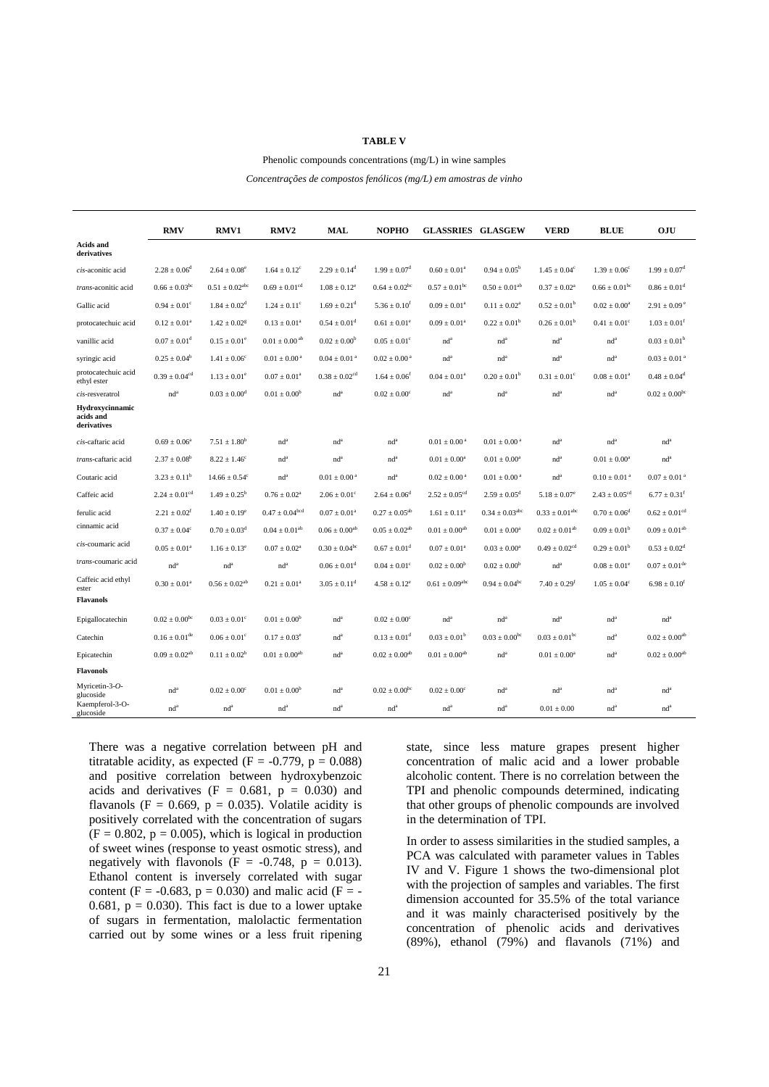#### **TABLE V**

#### Phenolic compounds concentrations (mg/L) in wine samples

*Concentrações de compostos fenólicos (mg/L) em amostras de vinho* 

|                                             | <b>RMV</b>                    | RMV1                           | RMV <sub>2</sub>              | MAL                           | <b>NOPHO</b>                  | <b>GLASSRIES</b>              | <b>GLASGEW</b>                 | <b>VERD</b>                   | <b>BLUE</b>                   | OJU                           |
|---------------------------------------------|-------------------------------|--------------------------------|-------------------------------|-------------------------------|-------------------------------|-------------------------------|--------------------------------|-------------------------------|-------------------------------|-------------------------------|
| Acids and<br>derivatives                    |                               |                                |                               |                               |                               |                               |                                |                               |                               |                               |
| cis-aconitic acid                           | $2.28 \pm 0.06^d$             | $2.64 \pm 0.08^e$              | $1.64 \pm 0.12^c$             | $2.29 \pm 0.14^d$             | $1.99 \pm 0.07$ <sup>d</sup>  | $0.60 \pm 0.01^a$             | $0.94 \pm 0.05^b$              | $1.45 \pm 0.04^c$             | $1.39 \pm 0.06^{\circ}$       | $1.99 \pm 0.07$ <sup>d</sup>  |
| trans-aconitic acid                         | $0.66 \pm 0.03$ <sup>bc</sup> | $0.51 \pm 0.02$ <sup>abc</sup> | $0.69 \pm 0.01^{\text{cd}}$   | $1.08 \pm 0.12^e$             | $0.64 \pm 0.02$ <sup>bc</sup> | $0.57 \pm 0.01^{bc}$          | $0.50 \pm 0.01^{ab}$           | $0.37 \pm 0.02^a$             | $0.66 \pm 0.01^{bc}$          | $0.86 \pm 0.01^d$             |
| Gallic acid                                 | $0.94 \pm 0.01^{\circ}$       | $1.84 \pm 0.02^d$              | $1.24 \pm 0.11^{\circ}$       | $1.69 \pm 0.21^d$             | $5.36 \pm 0.10^f$             | $0.09 \pm 0.01^a$             | $0.11 \pm 0.02^a$              | $0.52 \pm 0.01^{\rm b}$       | $0.02 \pm 0.00^a$             | $2.91 \pm 0.09^{\circ}$       |
| protocatechuic acid                         | $0.12 \pm 0.01^a$             | $1.42 \pm 0.02$ <sup>g</sup>   | $0.13 \pm 0.01^a$             | $0.54 \pm 0.01$ <sup>d</sup>  | $0.61 \pm 0.01^e$             | $0.09 \pm 0.01^a$             | $0.22 \pm 0.01^b$              | $0.26 \pm 0.01^b$             | $0.41 \pm 0.01^{\circ}$       | $1.03 \pm 0.01^{\rm f}$       |
| vanillic acid                               | $0.07 \pm 0.01$ <sup>d</sup>  | $0.15 \pm 0.01^e$              | $0.01 \pm 0.00$ <sup>ab</sup> | $0.02 \pm 0.00^b$             | $0.05 \pm 0.01^{\circ}$       | nd <sup>a</sup>               | nd <sup>a</sup>                | nd <sup>a</sup>               | nd <sup>a</sup>               | $0.03 \pm 0.01^b$             |
| syringic acid                               | $0.25 \pm 0.04^b$             | $1.41 \pm 0.06^{\circ}$        | $0.01 \pm 0.00^{\text{ a}}$   | $0.04 \pm 0.01$ <sup>a</sup>  | $0.02 \pm 0.00^{\text{ a}}$   | nd <sup>a</sup>               | nd <sup>a</sup>                | nd <sup>a</sup>               | nd <sup>a</sup>               | $0.03 \pm 0.01$ <sup>a</sup>  |
| protocatechuic acid<br>ethyl ester          | $0.39 \pm 0.04^{cd}$          | $1.13 \pm 0.01^e$              | $0.07 \pm 0.01^a$             | $0.38 \pm 0.02$ <sup>cd</sup> | $1.64 \pm 0.06$ <sup>f</sup>  | $0.04 \pm 0.01^a$             | $0.20 \pm 0.01^b$              | $0.31 \pm 0.01^{\circ}$       | $0.08 \pm 0.01^a$             | $0.48 \pm 0.04$ <sup>d</sup>  |
| cis-resveratrol                             | nd <sup>a</sup>               | $0.03 \pm 0.00$ <sup>d</sup>   | $0.01 \pm 0.00^b$             | nd <sup>a</sup>               | $0.02 \pm 0.00^{\circ}$       | nd <sup>a</sup>               | nd <sup>a</sup>                | nd <sup>a</sup>               | nd <sup>a</sup>               | $0.02 \pm 0.00^{bc}$          |
| Hydroxycinnamic<br>acids and<br>derivatives |                               |                                |                               |                               |                               |                               |                                |                               |                               |                               |
| cis-caftaric acid                           | $0.69 \pm 0.06^a$             | $7.51 \pm 1.80^b$              | nd <sup>a</sup>               | nd <sup>a</sup>               | nd <sup>a</sup>               | $0.01 \pm 0.00^{\text{ a}}$   | $0.01 \pm 0.00^{\text{ a}}$    | nd <sup>a</sup>               | nd <sup>a</sup>               | nd <sup>a</sup>               |
| trans-caftaric acid                         | $2.37 \pm 0.08^b$             | $8.22 \pm 1.46^{\circ}$        | nd <sup>a</sup>               | nd <sup>a</sup>               | nd <sup>a</sup>               | $0.01 \pm 0.00^a$             | $0.01 \pm 0.00^a$              | nd <sup>a</sup>               | $0.01 \pm 0.00^a$             | nd <sup>a</sup>               |
| Coutaric acid                               | $3.23 \pm 0.11^b$             | $14.66 \pm 0.54$ <sup>c</sup>  | nd <sup>a</sup>               | $0.01 \pm 0.00^{\text{ a}}$   | nd <sup>a</sup>               | $0.02 \pm 0.00^{\text{ a}}$   | $0.01 \pm 0.00^{\text{ a}}$    | nd <sup>a</sup>               | $0.10 \pm 0.01$ <sup>a</sup>  | $0.07 \pm 0.01$ <sup>a</sup>  |
| Caffeic acid                                | $2.24 \pm 0.01$ <sup>cd</sup> | $1.49 \pm 0.25^b$              | $0.76 \pm 0.02^a$             | $2.06 \pm 0.01$ <sup>c</sup>  | $2.64 \pm 0.06^d$             | $2.52 \pm 0.05$ <sup>cd</sup> | $2.59 \pm 0.05^{\rm d}$        | $5.18 \pm 0.07^e$             | $2.43 \pm 0.05$ <sup>cd</sup> | $6.77 \pm 0.31$ <sup>f</sup>  |
| ferulic acid                                | $2.21 \pm 0.02^f$             | $1.40 \pm 0.19^e$              | $0.47 \pm 0.04^{bcd}$         | $0.07 \pm 0.01^a$             | $0.27 \pm 0.05^{ab}$          | $1.61 \pm 0.11^e$             | $0.34 \pm 0.03$ <sup>abc</sup> | $0.33 \pm 0.01^{\text{abc}}$  | $0.70 \pm 0.06$ <sup>d</sup>  | $0.62 \pm 0.01^{\rm cd}$      |
| cinnamic acid                               | $0.37 \pm 0.04^{\circ}$       | $0.70 \pm 0.03^d$              | $0.04 \pm 0.01^{ab}$          | $0.06 \pm 0.00^{ab}$          | $0.05 \pm 0.02^{ab}$          | $0.01 \pm 0.00^{ab}$          | $0.01 \pm 0.00^a$              | $0.02 \pm 0.01^{ab}$          | $0.09 \pm 0.01^b$             | $0.09 \pm 0.01^{ab}$          |
| cis-coumaric acid                           | $0.05 \pm 0.01^a$             | $1.16 \pm 0.13^e$              | $0.07 \pm 0.02^a$             | $0.30 \pm 0.04^{\rm bc}$      | $0.67 \pm 0.01^d$             | $0.07 \pm 0.01^a$             | $0.03 \pm 0.00^a$              | $0.49 \pm 0.02$ <sup>cd</sup> | $0.29 \pm 0.01^b$             | $0.53 \pm 0.02^d$             |
| trans-coumaric acid                         | nd <sup>a</sup>               | nd <sup>a</sup>                | nd <sup>a</sup>               | $0.06 \pm 0.01$ <sup>d</sup>  | $0.04 \pm 0.01^{\circ}$       | $0.02 \pm 0.00^{\rm b}$       | $0.02 \pm 0.00^{\rm b}$        | nd <sup>a</sup>               | $0.08 \pm 0.01^{\circ}$       | $0.07 \pm 0.01$ <sup>de</sup> |
| Caffeic acid ethyl<br>ester                 | $0.30 \pm 0.01^a$             | $0.56 \pm 0.02^{ab}$           | $0.21 \pm 0.01^a$             | $3.05 \pm 0.11^d$             | $4.58 \pm 0.12^e$             | $0.61 \pm 0.09^{\text{abc}}$  | $0.94 \pm 0.04^{\rm bc}$       | $7.40 \pm 0.29$ <sup>t</sup>  | $1.05 \pm 0.04^c$             | $6.98 \pm 0.10^f$             |
| <b>Flavanols</b>                            |                               |                                |                               |                               |                               |                               |                                |                               |                               |                               |
| Epigallocatechin                            | $0.02 \pm 0.00^{\rm bc}$      | $0.03 \pm 0.01^{\circ}$        | $0.01 \pm 0.00^b$             | nd <sup>a</sup>               | $0.02 \pm 0.00^{\circ}$       | nd <sup>a</sup>               | nd <sup>a</sup>                | nd <sup>a</sup>               | nd <sup>a</sup>               | nd <sup>a</sup>               |
| Catechin                                    | $0.16 \pm 0.01$ <sup>de</sup> | $0.06 \pm 0.01^{\circ}$        | $0.17 \pm 0.03^e$             | nd <sup>a</sup>               | $0.13 \pm 0.01^d$             | $0.03 \pm 0.01^b$             | $0.03 \pm 0.00^{bc}$           | $0.03 \pm 0.01$ <sup>bc</sup> | nd <sup>a</sup>               | $0.02 \pm 0.00^{ab}$          |
| Epicatechin                                 | $0.09 \pm 0.02^{ab}$          | $0.11 \pm 0.02^b$              | $0.01 \pm 0.00^{ab}$          | nd <sup>a</sup>               | $0.02 \pm 0.00^{ab}$          | $0.01 \pm 0.00^{ab}$          | nd <sup>a</sup>                | $0.01 \pm 0.00^a$             | nd <sup>a</sup>               | $0.02 \pm 0.00^{ab}$          |
| <b>Flavonols</b>                            |                               |                                |                               |                               |                               |                               |                                |                               |                               |                               |
| Myricetin-3- $O$ -<br>glucoside             | nd <sup>a</sup>               | $0.02 \pm 0.00^{\circ}$        | $0.01 \pm 0.00^b$             | nd <sup>a</sup>               | $0.02 \pm 0.00^{bc}$          | $0.02 \pm 0.00^{\circ}$       | nd <sup>a</sup>                | nd <sup>a</sup>               | nd <sup>a</sup>               | nd <sup>a</sup>               |
| Kaempferol-3-O-<br>glucoside                | nd <sup>a</sup>               | nd <sup>a</sup>                | nd <sup>a</sup>               | nd <sup>a</sup>               | nd <sup>a</sup>               | nd <sup>a</sup>               | nd <sup>a</sup>                | $0.01 \pm 0.00$               | nd <sup>a</sup>               | nd <sup>a</sup>               |

There was a negative correlation between pH and titratable acidity, as expected  $(F = -0.779, p = 0.088)$ and positive correlation between hydroxybenzoic acids and derivatives ( $F = 0.681$ ,  $p = 0.030$ ) and flavanols (F = 0.669, p = 0.035). Volatile acidity is positively correlated with the concentration of sugars  $(F = 0.802, p = 0.005)$ , which is logical in production of sweet wines (response to yeast osmotic stress), and negatively with flavonols (F =  $-0.748$ , p = 0.013). Ethanol content is inversely correlated with sugar content (F = -0.683, p = 0.030) and malic acid (F = -0.681,  $p = 0.030$ . This fact is due to a lower uptake of sugars in fermentation, malolactic fermentation carried out by some wines or a less fruit ripening

state, since less mature grapes present higher concentration of malic acid and a lower probable alcoholic content. There is no correlation between the TPI and phenolic compounds determined, indicating that other groups of phenolic compounds are involved in the determination of TPI.

In order to assess similarities in the studied samples, a PCA was calculated with parameter values in Tables IV and V. Figure 1 shows the two-dimensional plot with the projection of samples and variables. The first dimension accounted for 35.5% of the total variance and it was mainly characterised positively by the concentration of phenolic acids and derivatives (89%), ethanol (79%) and flavanols (71%) and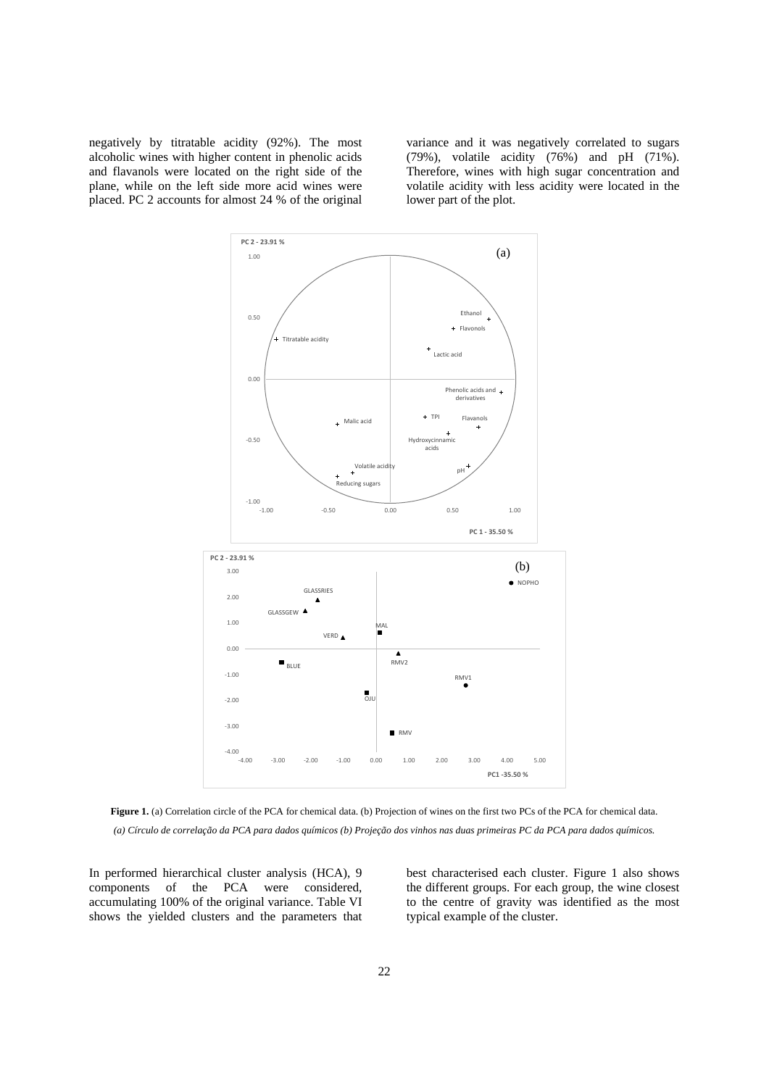negatively by titratable acidity (92%). The most alcoholic wines with higher content in phenolic acids and flavanols were located on the right side of the plane, while on the left side more acid wines were placed. PC 2 accounts for almost 24 % of the original variance and it was negatively correlated to sugars (79%), volatile acidity (76%) and pH (71%). Therefore, wines with high sugar concentration and volatile acidity with less acidity were located in the lower part of the plot.





In performed hierarchical cluster analysis (HCA), 9 components of the PCA were considered, accumulating 100% of the original variance. Table VI shows the yielded clusters and the parameters that best characterised each cluster. Figure 1 also shows the different groups. For each group, the wine closest to the centre of gravity was identified as the most typical example of the cluster.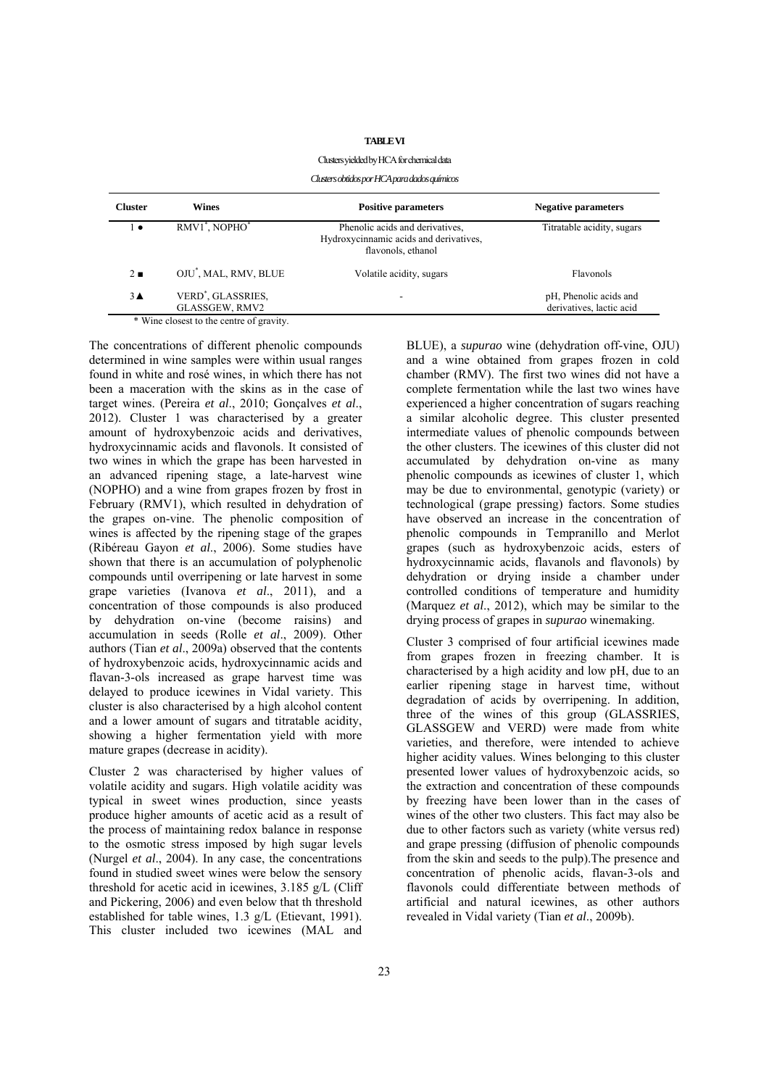#### **TABLE VI**

## Clusters yielded by HCA for chemical data

*Clusters obtidos por HCA para dados químicos* 

| <b>Cluster</b>   | <b>Wines</b>                                     | <b>Positive parameters</b>                                                                      | <b>Negative parameters</b>                         |
|------------------|--------------------------------------------------|-------------------------------------------------------------------------------------------------|----------------------------------------------------|
| $1 \bullet$      | RMV1 <sup>*</sup> , NOPHO <sup>*</sup>           | Phenolic acids and derivatives.<br>Hydroxycinnamic acids and derivatives,<br>flavonols, ethanol | Titratable acidity, sugars                         |
| $2 \blacksquare$ | OJU*, MAL, RMV, BLUE                             | Volatile acidity, sugars                                                                        | Flavonols                                          |
| $3\triangle$     | VERD <sup>*</sup> , GLASSRIES,<br>GLASSGEW, RMV2 | -                                                                                               | pH, Phenolic acids and<br>derivatives, lactic acid |

Wine closest to the centre of gravity.

The concentrations of different phenolic compounds determined in wine samples were within usual ranges found in white and rosé wines, in which there has not been a maceration with the skins as in the case of target wines. (Pereira *et al*., 2010; Gonçalves *et al*., 2012). Cluster 1 was characterised by a greater amount of hydroxybenzoic acids and derivatives, hydroxycinnamic acids and flavonols. It consisted of two wines in which the grape has been harvested in an advanced ripening stage, a late-harvest wine (NOPHO) and a wine from grapes frozen by frost in February (RMV1), which resulted in dehydration of the grapes on-vine. The phenolic composition of wines is affected by the ripening stage of the grapes (Ribéreau Gayon *et al*., 2006). Some studies have shown that there is an accumulation of polyphenolic compounds until overripening or late harvest in some grape varieties (Ivanova *et al*., 2011), and a concentration of those compounds is also produced by dehydration on-vine (become raisins) and accumulation in seeds (Rolle *et al*., 2009). Other authors (Tian *et al*., 2009a) observed that the contents of hydroxybenzoic acids, hydroxycinnamic acids and flavan-3-ols increased as grape harvest time was delayed to produce icewines in Vidal variety. This cluster is also characterised by a high alcohol content and a lower amount of sugars and titratable acidity, showing a higher fermentation yield with more mature grapes (decrease in acidity).

Cluster 2 was characterised by higher values of volatile acidity and sugars. High volatile acidity was typical in sweet wines production, since yeasts produce higher amounts of acetic acid as a result of the process of maintaining redox balance in response to the osmotic stress imposed by high sugar levels (Nurgel *et al*., 2004). In any case, the concentrations found in studied sweet wines were below the sensory threshold for acetic acid in icewines, 3.185 g/L (Cliff and Pickering, 2006) and even below that th threshold established for table wines, 1.3 g/L (Etievant, 1991). This cluster included two icewines (MAL and

BLUE), a *supurao* wine (dehydration off-vine, OJU) and a wine obtained from grapes frozen in cold chamber (RMV). The first two wines did not have a complete fermentation while the last two wines have experienced a higher concentration of sugars reaching a similar alcoholic degree. This cluster presented intermediate values of phenolic compounds between the other clusters. The icewines of this cluster did not accumulated by dehydration on-vine as many phenolic compounds as icewines of cluster 1, which may be due to environmental, genotypic (variety) or technological (grape pressing) factors. Some studies have observed an increase in the concentration of phenolic compounds in Tempranillo and Merlot grapes (such as hydroxybenzoic acids, esters of hydroxycinnamic acids, flavanols and flavonols) by dehydration or drying inside a chamber under controlled conditions of temperature and humidity (Marquez *et al*., 2012), which may be similar to the drying process of grapes in *supurao* winemaking.

Cluster 3 comprised of four artificial icewines made from grapes frozen in freezing chamber. It is characterised by a high acidity and low pH, due to an earlier ripening stage in harvest time, without degradation of acids by overripening. In addition, three of the wines of this group (GLASSRIES, GLASSGEW and VERD) were made from white varieties, and therefore, were intended to achieve higher acidity values. Wines belonging to this cluster presented lower values of hydroxybenzoic acids, so the extraction and concentration of these compounds by freezing have been lower than in the cases of wines of the other two clusters. This fact may also be due to other factors such as variety (white versus red) and grape pressing (diffusion of phenolic compounds from the skin and seeds to the pulp).The presence and concentration of phenolic acids, flavan-3-ols and flavonols could differentiate between methods of artificial and natural icewines, as other authors revealed in Vidal variety (Tian *et al*., 2009b).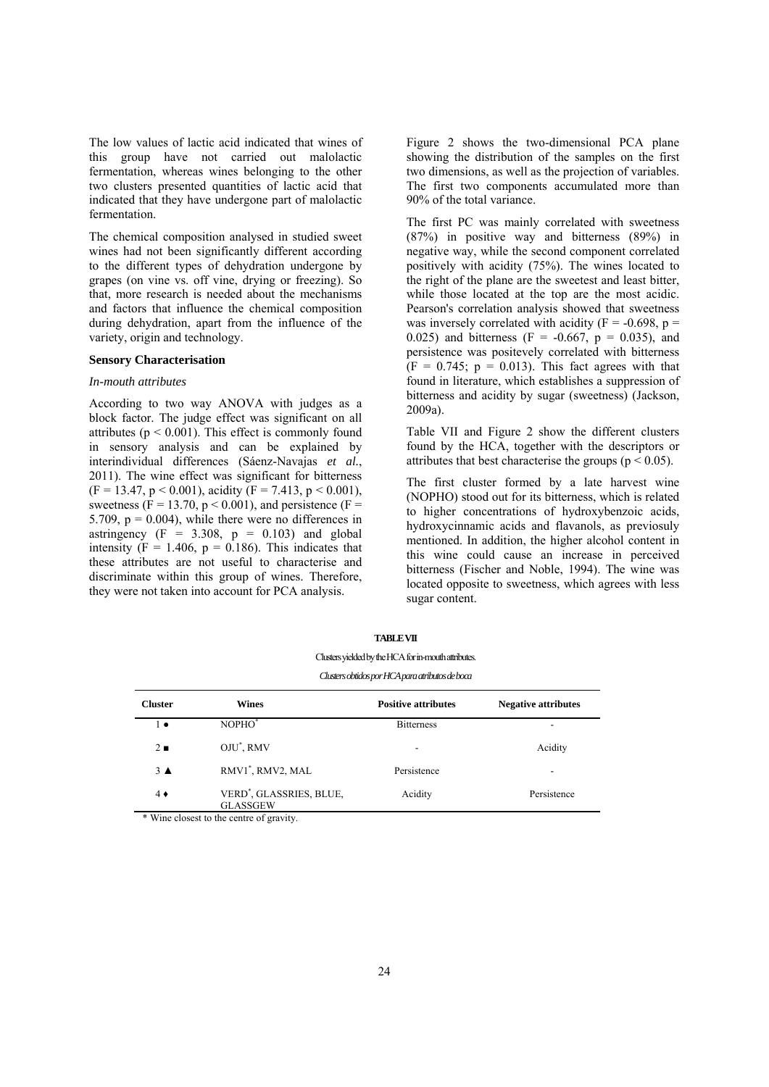The low values of lactic acid indicated that wines of this group have not carried out malolactic fermentation, whereas wines belonging to the other two clusters presented quantities of lactic acid that indicated that they have undergone part of malolactic fermentation.

The chemical composition analysed in studied sweet wines had not been significantly different according to the different types of dehydration undergone by grapes (on vine vs. off vine, drying or freezing). So that, more research is needed about the mechanisms and factors that influence the chemical composition during dehydration, apart from the influence of the variety, origin and technology.

## **Sensory Characterisation**

## *In-mouth attributes*

According to two way ANOVA with judges as a block factor. The judge effect was significant on all attributes ( $p < 0.001$ ). This effect is commonly found in sensory analysis and can be explained by interindividual differences (Sáenz-Navajas *et al.*, 2011). The wine effect was significant for bitterness  $(F = 13.47, p < 0.001)$ , acidity  $(F = 7.413, p < 0.001)$ , sweetness ( $\overline{F} = 13.70$ ,  $p < 0.001$ ), and persistence ( $\overline{F} =$ 5.709,  $p = 0.004$ ), while there were no differences in astringency  $(F = 3.308, p = 0.103)$  and global intensity ( $F = 1.406$ ,  $p = 0.186$ ). This indicates that these attributes are not useful to characterise and discriminate within this group of wines. Therefore, they were not taken into account for PCA analysis.

Figure 2 shows the two-dimensional PCA plane showing the distribution of the samples on the first two dimensions, as well as the projection of variables. The first two components accumulated more than 90% of the total variance.

The first PC was mainly correlated with sweetness (87%) in positive way and bitterness (89%) in negative way, while the second component correlated positively with acidity (75%). The wines located to the right of the plane are the sweetest and least bitter, while those located at the top are the most acidic. Pearson's correlation analysis showed that sweetness was inversely correlated with acidity ( $F = -0.698$ ,  $p =$ 0.025) and bitterness (F =  $-0.667$ , p = 0.035), and persistence was positevely correlated with bitterness  $(F = 0.745; p = 0.013)$ . This fact agrees with that found in literature, which establishes a suppression of bitterness and acidity by sugar (sweetness) (Jackson, 2009a).

Table VII and Figure 2 show the different clusters found by the HCA, together with the descriptors or attributes that best characterise the groups ( $p < 0.05$ ).

The first cluster formed by a late harvest wine (NOPHO) stood out for its bitterness, which is related to higher concentrations of hydroxybenzoic acids, hydroxycinnamic acids and flavanols, as previosuly mentioned. In addition, the higher alcohol content in this wine could cause an increase in perceived bitterness (Fischer and Noble, 1994). The wine was located opposite to sweetness, which agrees with less sugar content.

| <b>TABLEVII</b>                                      |
|------------------------------------------------------|
| Clusters yielded by the HCA for in-mouth attributes. |

|  |  | Clusters obtidos por HCA para atributos de boca |
|--|--|-------------------------------------------------|
|--|--|-------------------------------------------------|

| <b>Cluster</b>   | Wines                                                   | <b>Positive attributes</b> | <b>Negative attributes</b> |
|------------------|---------------------------------------------------------|----------------------------|----------------------------|
| 1 ●              | NOPHO <sup>*</sup>                                      | <b>Bitterness</b>          |                            |
| $2 \blacksquare$ | OJU*, RMV                                               | $\overline{\phantom{a}}$   | Acidity                    |
| $3 \triangle$    | RMV1 <sup>*</sup> , RMV2, MAL                           | Persistence                | $\overline{\phantom{a}}$   |
| $4\bullet$       | VERD <sup>*</sup> , GLASSRIES, BLUE,<br><b>GLASSGEW</b> | Acidity                    | Persistence                |

\* Wine closest to the centre of gravity.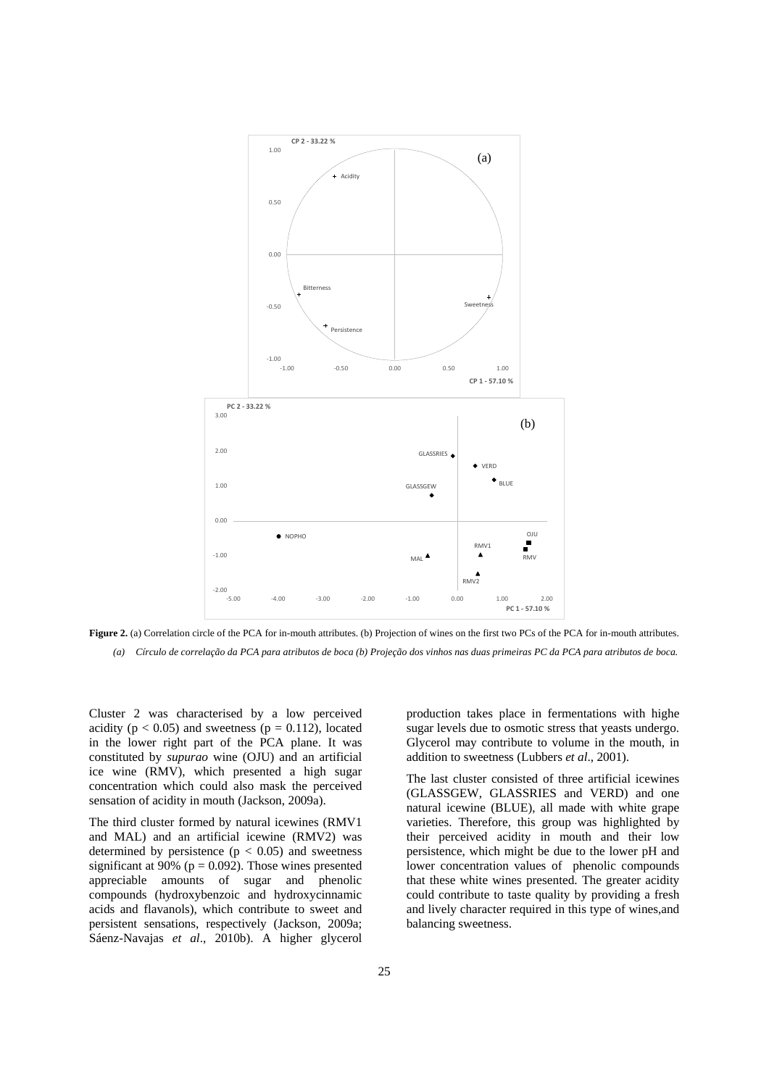

**Figure 2.** (a) Correlation circle of the PCA for in-mouth attributes. (b) Projection of wines on the first two PCs of the PCA for in-mouth attributes. *(a) Círculo de correlação da PCA para atributos de boca (b) Projeção dos vinhos nas duas primeiras PC da PCA para atributos de boca.* 

Cluster 2 was characterised by a low perceived acidity ( $p < 0.05$ ) and sweetness ( $p = 0.112$ ), located in the lower right part of the PCA plane. It was constituted by *supurao* wine (OJU) and an artificial ice wine (RMV), which presented a high sugar concentration which could also mask the perceived sensation of acidity in mouth (Jackson, 2009a).

The third cluster formed by natural icewines (RMV1 and MAL) and an artificial icewine (RMV2) was determined by persistence  $(p < 0.05)$  and sweetness significant at 90% ( $p = 0.092$ ). Those wines presented appreciable amounts of sugar and phenolic compounds (hydroxybenzoic and hydroxycinnamic acids and flavanols), which contribute to sweet and persistent sensations, respectively (Jackson, 2009a; Sáenz-Navajas *et al*., 2010b). A higher glycerol

production takes place in fermentations with highe sugar levels due to osmotic stress that yeasts undergo. Glycerol may contribute to volume in the mouth, in addition to sweetness (Lubbers *et al*., 2001).

The last cluster consisted of three artificial icewines (GLASSGEW, GLASSRIES and VERD) and one natural icewine (BLUE), all made with white grape varieties. Therefore, this group was highlighted by their perceived acidity in mouth and their low persistence, which might be due to the lower pH and lower concentration values of phenolic compounds that these white wines presented. The greater acidity could contribute to taste quality by providing a fresh and lively character required in this type of wines,and balancing sweetness.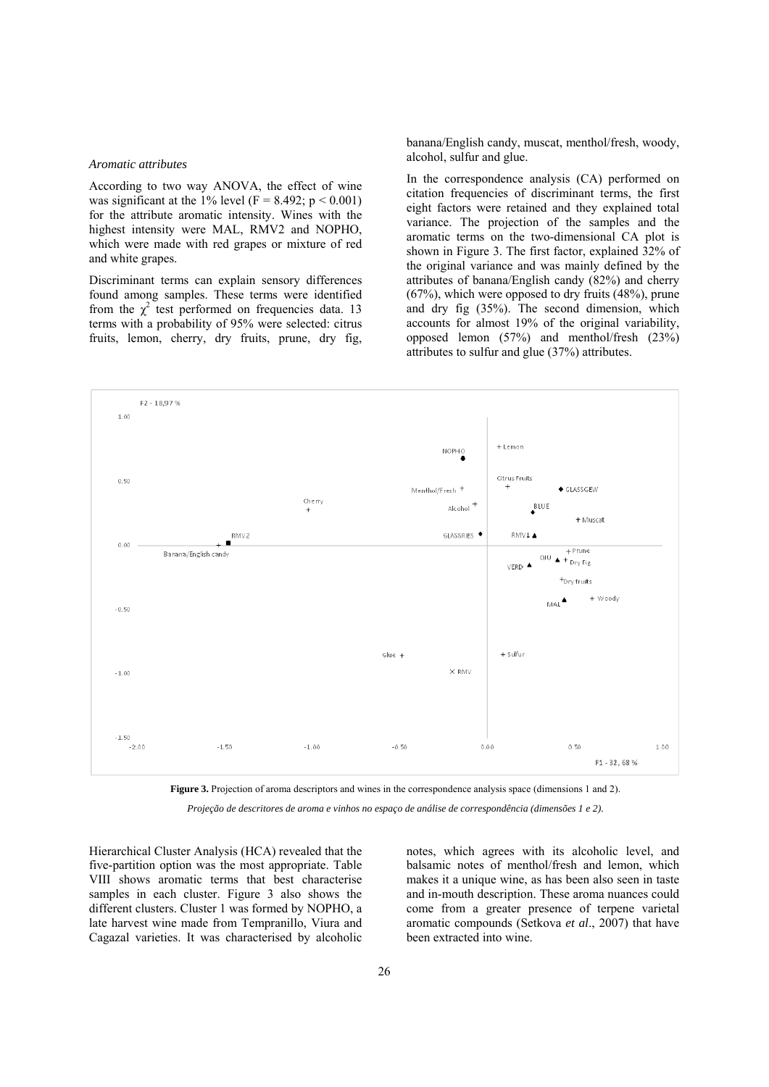#### *Aromatic attributes*

According to two way ANOVA, the effect of wine was significant at the 1% level (F = 8.492;  $p < 0.001$ ) for the attribute aromatic intensity. Wines with the highest intensity were MAL, RMV2 and NOPHO, which were made with red grapes or mixture of red and white grapes.

Discriminant terms can explain sensory differences found among samples. These terms were identified from the  $\chi^2$  test performed on frequencies data. 13 terms with a probability of 95% were selected: citrus fruits, lemon, cherry, dry fruits, prune, dry fig,

banana/English candy, muscat, menthol/fresh, woody, alcohol, sulfur and glue.

In the correspondence analysis (CA) performed on citation frequencies of discriminant terms, the first eight factors were retained and they explained total variance. The projection of the samples and the aromatic terms on the two-dimensional CA plot is shown in Figure 3. The first factor, explained 32% of the original variance and was mainly defined by the attributes of banana/English candy (82%) and cherry (67%), which were opposed to dry fruits (48%), prune and dry fig (35%). The second dimension, which accounts for almost 19% of the original variability, opposed lemon (57%) and menthol/fresh (23%) attributes to sulfur and glue (37%) attributes.



**Figure 3.** Projection of aroma descriptors and wines in the correspondence analysis space (dimensions 1 and 2).

*Projeção de descritores de aroma e vinhos no espaço de análise de correspondência (dimensões 1 e 2).*

Hierarchical Cluster Analysis (HCA) revealed that the five-partition option was the most appropriate. Table VIII shows aromatic terms that best characterise samples in each cluster. Figure 3 also shows the different clusters. Cluster 1 was formed by NOPHO, a late harvest wine made from Tempranillo, Viura and Cagazal varieties. It was characterised by alcoholic

notes, which agrees with its alcoholic level, and balsamic notes of menthol/fresh and lemon, which makes it a unique wine, as has been also seen in taste and in-mouth description. These aroma nuances could come from a greater presence of terpene varietal aromatic compounds (Setkova *et al*., 2007) that have been extracted into wine.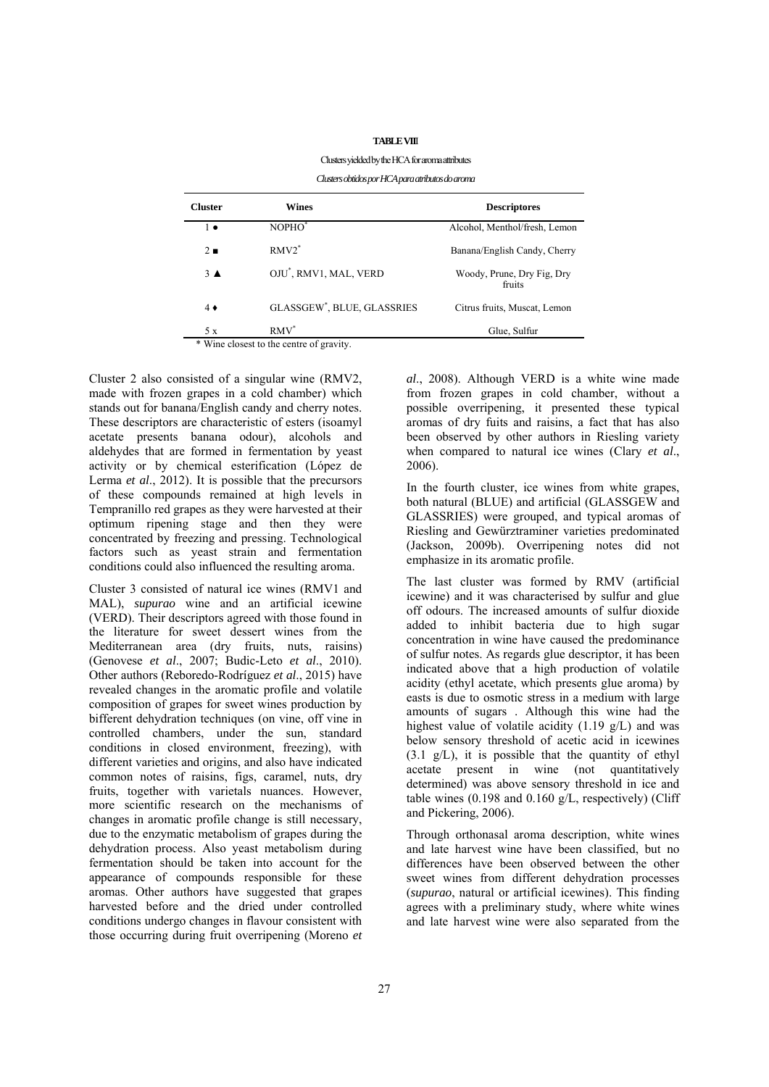#### **TABLE VII**I

Clusters yielded by the HCA for aroma attributes

| Clusters obtidos por HCA para atributos do aroma |  |
|--------------------------------------------------|--|
|--------------------------------------------------|--|

| <b>Cluster</b>   | Wines                                    | <b>Descriptores</b>                  |  |  |  |  |  |
|------------------|------------------------------------------|--------------------------------------|--|--|--|--|--|
| $1\bullet$       | NOPHO <sup>*</sup>                       | Alcohol, Menthol/fresh, Lemon        |  |  |  |  |  |
| $2 \blacksquare$ | $RMV2^*$                                 | Banana/English Candy, Cherry         |  |  |  |  |  |
| $3 \triangle$    | OJU*, RMV1, MAL, VERD                    | Woody, Prune, Dry Fig. Dry<br>fruits |  |  |  |  |  |
| $4 \bullet$      | <b>GLASSGEW*, BLUE, GLASSRIES</b>        | Citrus fruits, Muscat, Lemon         |  |  |  |  |  |
| 5 x              | $RMV^*$                                  | Glue, Sulfur                         |  |  |  |  |  |
|                  | * Wine closest to the centre of gravity. |                                      |  |  |  |  |  |

Cluster 2 also consisted of a singular wine (RMV2, made with frozen grapes in a cold chamber) which stands out for banana/English candy and cherry notes. These descriptors are characteristic of esters (isoamyl acetate presents banana odour), alcohols and aldehydes that are formed in fermentation by yeast activity or by chemical esterification (López de Lerma *et al*., 2012). It is possible that the precursors of these compounds remained at high levels in Tempranillo red grapes as they were harvested at their optimum ripening stage and then they were concentrated by freezing and pressing. Technological factors such as yeast strain and fermentation conditions could also influenced the resulting aroma.

Cluster 3 consisted of natural ice wines (RMV1 and MAL), *supurao* wine and an artificial icewine (VERD). Their descriptors agreed with those found in the literature for sweet dessert wines from the Mediterranean area (dry fruits, nuts, raisins) (Genovese *et al*., 2007; Budic-Leto *et al*., 2010). Other authors (Reboredo-Rodríguez *et al*., 2015) have revealed changes in the aromatic profile and volatile composition of grapes for sweet wines production by bifferent dehydration techniques (on vine, off vine in controlled chambers, under the sun, standard conditions in closed environment, freezing), with different varieties and origins, and also have indicated common notes of raisins, figs, caramel, nuts, dry fruits, together with varietals nuances. However, more scientific research on the mechanisms of changes in aromatic profile change is still necessary, due to the enzymatic metabolism of grapes during the dehydration process. Also yeast metabolism during fermentation should be taken into account for the appearance of compounds responsible for these aromas. Other authors have suggested that grapes harvested before and the dried under controlled conditions undergo changes in flavour consistent with those occurring during fruit overripening (Moreno *et*  *al*., 2008). Although VERD is a white wine made from frozen grapes in cold chamber, without a possible overripening, it presented these typical aromas of dry fuits and raisins, a fact that has also been observed by other authors in Riesling variety when compared to natural ice wines (Clary *et al*., 2006).

In the fourth cluster, ice wines from white grapes, both natural (BLUE) and artificial (GLASSGEW and GLASSRIES) were grouped, and typical aromas of Riesling and Gewürztraminer varieties predominated (Jackson, 2009b). Overripening notes did not emphasize in its aromatic profile.

The last cluster was formed by RMV (artificial icewine) and it was characterised by sulfur and glue off odours. The increased amounts of sulfur dioxide added to inhibit bacteria due to high sugar concentration in wine have caused the predominance of sulfur notes. As regards glue descriptor, it has been indicated above that a high production of volatile acidity (ethyl acetate, which presents glue aroma) by easts is due to osmotic stress in a medium with large amounts of sugars . Although this wine had the highest value of volatile acidity (1.19 g/L) and was below sensory threshold of acetic acid in icewines (3.1 g/L), it is possible that the quantity of ethyl acetate present in wine (not quantitatively determined) was above sensory threshold in ice and table wines  $(0.198$  and  $0.160$  g/L, respectively) (Cliff and Pickering, 2006).

Through orthonasal aroma description, white wines and late harvest wine have been classified, but no differences have been observed between the other sweet wines from different dehydration processes (*supurao*, natural or artificial icewines). This finding agrees with a preliminary study, where white wines and late harvest wine were also separated from the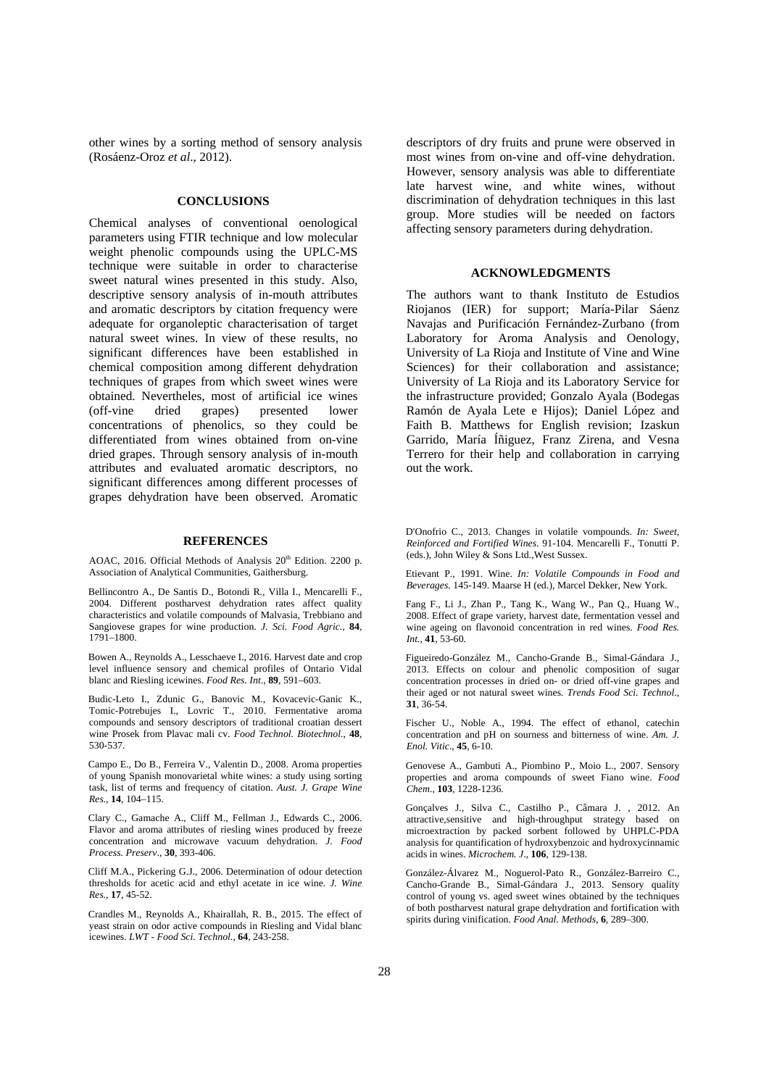other wines by a sorting method of sensory analysis (Rosáenz-Oroz *et al*., 2012).

## **CONCLUSIONS**

Chemical analyses of conventional oenological parameters using FTIR technique and low molecular weight phenolic compounds using the UPLC-MS technique were suitable in order to characterise sweet natural wines presented in this study. Also, descriptive sensory analysis of in-mouth attributes and aromatic descriptors by citation frequency were adequate for organoleptic characterisation of target natural sweet wines. In view of these results, no significant differences have been established in chemical composition among different dehydration techniques of grapes from which sweet wines were obtained. Nevertheles, most of artificial ice wines (off-vine dried grapes) presented lower concentrations of phenolics, so they could be differentiated from wines obtained from on-vine dried grapes. Through sensory analysis of in-mouth attributes and evaluated aromatic descriptors, no significant differences among different processes of grapes dehydration have been observed. Aromatic

#### **REFERENCES**

AOAC, 2016. Official Methods of Analysis 20<sup>th</sup> Edition. 2200 p. Association of Analytical Communities, Gaithersburg.

Bellincontro A., De Santis D., Botondi R., Villa I., Mencarelli F., 2004. Different postharvest dehydration rates affect quality characteristics and volatile compounds of Malvasia, Trebbiano and Sangiovese grapes for wine production. *J. Sci. Food Agric.*, **84**, 1791–1800.

Bowen A., Reynolds A., Lesschaeve I., 2016. Harvest date and crop level influence sensory and chemical profiles of Ontario Vidal blanc and Riesling icewines. *Food Res. Int*., **89**, 591–603.

Budic-Leto I., Zdunic G., Banovic M., Kovacevic-Ganic K., Tomic-Potrebujes I., Lovric T., 2010. Fermentative aroma compounds and sensory descriptors of traditional croatian dessert wine Prosek from Plavac mali cv. *Food Technol. Biotechnol.*, **48**, 530-537.

Campo E., Do B., Ferreira V., Valentin D., 2008. Aroma properties of young Spanish monovarietal white wines: a study using sorting task, list of terms and frequency of citation. *Aust. J. Grape Wine Res.*, **14**, 104–115.

Clary C., Gamache A., Cliff M., Fellman J., Edwards C., 2006. Flavor and aroma attributes of riesling wines produced by freeze concentration and microwave vacuum dehydration. *J. Food Process. Preserv.*, **30**, 393-406.

Cliff M.A., Pickering G.J., 2006. Determination of odour detection thresholds for acetic acid and ethyl acetate in ice wine. *J. Wine Res.*, **17**, 45-52.

Crandles M., Reynolds A., Khairallah, R. B., 2015. The effect of yeast strain on odor active compounds in Riesling and Vidal blanc icewines. *LWT - Food Sci. Technol.*, **64**, 243-258.

descriptors of dry fruits and prune were observed in most wines from on-vine and off-vine dehydration. However, sensory analysis was able to differentiate late harvest wine, and white wines, without discrimination of dehydration techniques in this last group. More studies will be needed on factors affecting sensory parameters during dehydration.

### **ACKNOWLEDGMENTS**

The authors want to thank Instituto de Estudios Riojanos (IER) for support; María-Pilar Sáenz Navajas and Purificación Fernández-Zurbano (from Laboratory for Aroma Analysis and Oenology, University of La Rioja and Institute of Vine and Wine Sciences) for their collaboration and assistance; University of La Rioja and its Laboratory Service for the infrastructure provided; Gonzalo Ayala (Bodegas Ramón de Ayala Lete e Hijos); Daniel López and Faith B. Matthews for English revision; Izaskun Garrido, María Íñiguez, Franz Zirena, and Vesna Terrero for their help and collaboration in carrying out the work.

D'Onofrio C., 2013. Changes in volatile vompounds. *In: Sweet, Reinforced and Fortified Wines*. 91-104. Mencarelli F., Tonutti P. (eds.), John Wiley & Sons Ltd.,West Sussex.

Etievant P., 1991. Wine. *In: Volatile Compounds in Food and Beverages*. 145-149. Maarse H (ed.), Marcel Dekker, New York.

Fang F., Li J., Zhan P., Tang K., Wang W., Pan Q., Huang W., 2008. Effect of grape variety, harvest date, fermentation vessel and wine ageing on flavonoid concentration in red wines. *Food Res. Int.*, **41**, 53-60.

Figueiredo-González M., Cancho-Grande B., Simal-Gándara J., 2013. Effects on colour and phenolic composition of sugar concentration processes in dried on- or dried off-vine grapes and their aged or not natural sweet wines. *Trends Food Sci. Technol*., **31**, 36-54.

Fischer U., Noble A., 1994. The effect of ethanol, catechin concentration and pH on sourness and bitterness of wine. *Am. J. Enol. Vitic*., **45**, 6-10.

Genovese A., Gambuti A., Piombino P., Moio L., 2007. Sensory properties and aroma compounds of sweet Fiano wine. *Food Chem*., **103**, 1228-1236.

Gonçalves J., Silva C., Castilho P., Câmara J. , 2012. An attractive,sensitive and high-throughput strategy based on microextraction by packed sorbent followed by UHPLC-PDA analysis for quantification of hydroxybenzoic and hydroxycinnamic acids in wines. *Microchem. J*., **106**, 129-138.

González-Álvarez M., Noguerol-Pato R., González-Barreiro C., Cancho-Grande B., Simal-Gándara J., 2013. Sensory quality control of young vs. aged sweet wines obtained by the techniques of both postharvest natural grape dehydration and fortification with spirits during vinification. *Food Anal. Methods,* **6***,* 289–300.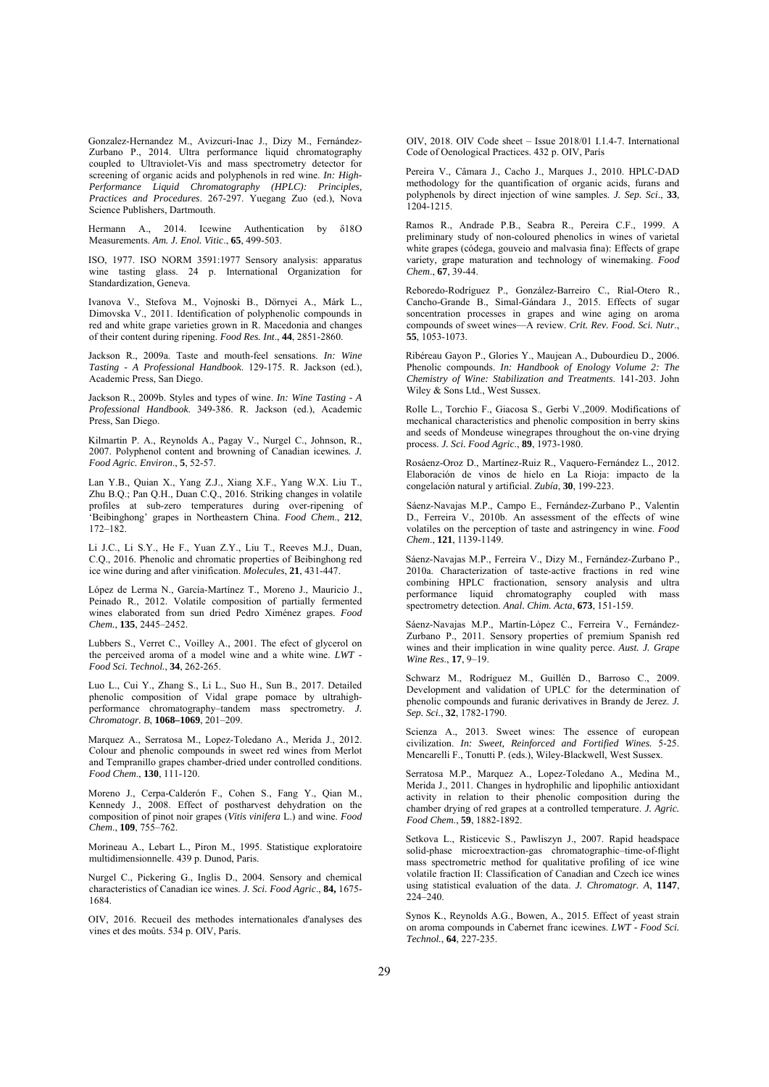Gonzalez-Hernandez M., Avizcuri-Inac J., Dizy M., Fernández-Zurbano P., 2014. Ultra performance liquid chromatography coupled to Ultraviolet-Vis and mass spectrometry detector for screening of organic acids and polyphenols in red wine. *In: High-Performance Liquid Chromatography (HPLC): Principles, Practices and Procedures*. 267-297. Yuegang Zuo (ed.), Nova Science Publishers, Dartmouth.

Hermann A., 2014. Icewine Authentication by δ18O Measurements. *Am. J. Enol. Vitic*., **65**, 499-503.

ISO, 1977. ISO NORM 3591:1977 Sensory analysis: apparatus wine tasting glass. 24 p. International Organization for Standardization, Geneva.

Ivanova V., Stefova M., Vojnoski B., Dörnyei A., Márk L., Dimovska V., 2011. Identification of polyphenolic compounds in red and white grape varieties grown in R. Macedonia and changes of their content during ripening. *Food Res. Int*., **44**, 2851-2860.

Jackson R., 2009a. Taste and mouth-feel sensations. *In: Wine Tasting - A Professional Handbook*. 129-175. R. Jackson (ed.), Academic Press, San Diego.

Jackson R., 2009b. Styles and types of wine. *In: Wine Tasting - A Professional Handbook*. 349-386. R. Jackson (ed.), Academic Press, San Diego.

Kilmartin P. A., Reynolds A., Pagay V., Nurgel C., Johnson, R., 2007. Polyphenol content and browning of Canadian icewines*. J. Food Agric. Environ*., **5**, 52-57.

Lan Y.B., Quian X., Yang Z.J., Xiang X.F., Yang W.X. Liu T., Zhu B.Q.; Pan Q.H., Duan C.Q., 2016. Striking changes in volatile profiles at sub-zero temperatures during over-ripening of 'Beibinghong' grapes in Northeastern China. *Food Chem*., **212**, 172–182.

Li J.C., Li S.Y., He F., Yuan Z.Y., Liu T., Reeves M.J., Duan, C.Q., 2016. Phenolic and chromatic properties of Beibinghong red ice wine during and after vinification. *Molecules*, **21**, 431-447.

López de Lerma N., García-Martínez T., Moreno J., Mauricio J., Peinado R., 2012. Volatile composition of partially fermented wines elaborated from sun dried Pedro Ximénez grapes. *Food Chem.*, **135**, 2445–2452.

Lubbers S., Verret C., Voilley A., 2001. The efect of glycerol on the perceived aroma of a model wine and a white wine. *LWT - Food Sci. Technol.*, **34**, 262-265.

Luo L., Cui Y., Zhang S., Li L., Suo H., Sun B., 2017. Detailed phenolic composition of Vidal grape pomace by ultrahighperformance chromatography–tandem mass spectrometry*. J. Chromatogr. B*, **1068–1069**, 201–209.

Marquez A., Serratosa M., Lopez-Toledano A., Merida J., 2012. Colour and phenolic compounds in sweet red wines from Merlot and Tempranillo grapes chamber-dried under controlled conditions. *Food Chem*., **130**, 111-120.

Moreno J., Cerpa-Calderón F., Cohen S., Fang Y., Qian M., Kennedy J., 2008. Effect of postharvest dehydration on the composition of pinot noir grapes (*Vitis vinifera* L.) and wine. *Food Chem*., **109**, 755–762.

Morineau A., Lebart L., Piron M., 1995. Statistique exploratoire multidimensionnelle. 439 p. Dunod, Paris.

Nurgel C., Pickering G., Inglis D., 2004. Sensory and chemical characteristics of Canadian ice wines. *J. Sci. Food Agric*., **84,** 1675- 1684.

OIV, 2016. Recueil des methodes internationales d'analyses des vines et des moûts. 534 p. OIV, París.

OIV, 2018. OIV Code sheet – Issue 2018/01 I.1.4-7. International Code of Oenological Practices. 432 p. OIV, París

Pereira V., Câmara J., Cacho J., Marques J., 2010. HPLC-DAD methodology for the quantification of organic acids, furans and polyphenols by direct injection of wine samples. *J. Sep. Sci*., **33**,  $1204 - 1215$ 

Ramos R., Andrade P.B., Seabra R., Pereira C.F., 1999. A preliminary study of non-coloured phenolics in wines of varietal white grapes (códega, gouveio and malvasia fina): Effects of grape variety, grape maturation and technology of winemaking. *Food Chem*., **67**, 39-44.

Reboredo-Rodríguez P., González-Barreiro C., Rial-Otero R., Cancho-Grande B., Simal-Gándara J., 2015. Effects of sugar soncentration processes in grapes and wine aging on aroma compounds of sweet wines—A review. *Crit. Rev. Food. Sci. Nutr*., **55**, 1053-1073.

Ribéreau Gayon P., Glories Y., Maujean A., Dubourdieu D., 2006. Phenolic compounds. *In: Handbook of Enology Volume 2: The Chemistry of Wine: Stabilization and Treatments*. 141-203. John Wiley & Sons Ltd., West Sussex.

Rolle L., Torchio F., Giacosa S., Gerbi V.,2009. Modifications of mechanical characteristics and phenolic composition in berry skins and seeds of Mondeuse winegrapes throughout the on-vine drying process. *J. Sci. Food Agric*., **89**, 1973-1980.

Rosáenz-Oroz D., Martínez-Ruiz R., Vaquero-Fernández L., 2012. Elaboración de vinos de hielo en La Rioja: impacto de la congelación natural y artificial. *Zubía*, **30**, 199-223.

Sáenz-Navajas M.P., Campo E., Fernández-Zurbano P., Valentin D., Ferreira V., 2010b. An assessment of the effects of wine volatiles on the perception of taste and astringency in wine. *Food Chem*., **121**, 1139-1149.

Sáenz-Navajas M.P., Ferreira V., Dizy M., Fernández-Zurbano P., 2010a. Characterization of taste-active fractions in red wine combining HPLC fractionation, sensory analysis and ultra performance liquid chromatography coupled with mass spectrometry detection. *Anal. Chim. Acta*, **673**, 151-159.

Sáenz-Navajas M.P., Martín-López C., Ferreira V., Fernández-Zurbano P., 2011. Sensory properties of premium Spanish red wines and their implication in wine quality perce. *Aust. J. Grape Wine Res*., **17**, 9–19.

Schwarz M., Rodríguez M., Guillén D., Barroso C., 2009. Development and validation of UPLC for the determination of phenolic compounds and furanic derivatives in Brandy de Jerez. *J. Sep. Sci*., **32**, 1782-1790.

Scienza A., 2013. Sweet wines: The essence of european civilization. *In: Sweet, Reinforced and Fortified Wines.* 5-25. Mencarelli F., Tonutti P. (eds.), Wiley-Blackwell, West Sussex.

Serratosa M.P., Marquez A., Lopez-Toledano A., Medina M., Merida J., 2011. Changes in hydrophilic and lipophilic antioxidant activity in relation to their phenolic composition during the chamber drying of red grapes at a controlled temperature. *J. Agric. Food Chem*., **59**, 1882-1892.

Setkova L., Risticevic S., Pawliszyn J., 2007. Rapid headspace solid-phase microextraction-gas chromatographic–time-of-flight mass spectrometric method for qualitative profiling of ice wine volatile fraction II: Classification of Canadian and Czech ice wines using statistical evaluation of the data. *J. Chromatogr. A*, **1147**, 224–240.

Synos K., Reynolds A.G., Bowen, A., 2015. Effect of yeast strain on aroma compounds in Cabernet franc icewines. *LWT - Food Sci. Technol.*, **64**, 227-235.